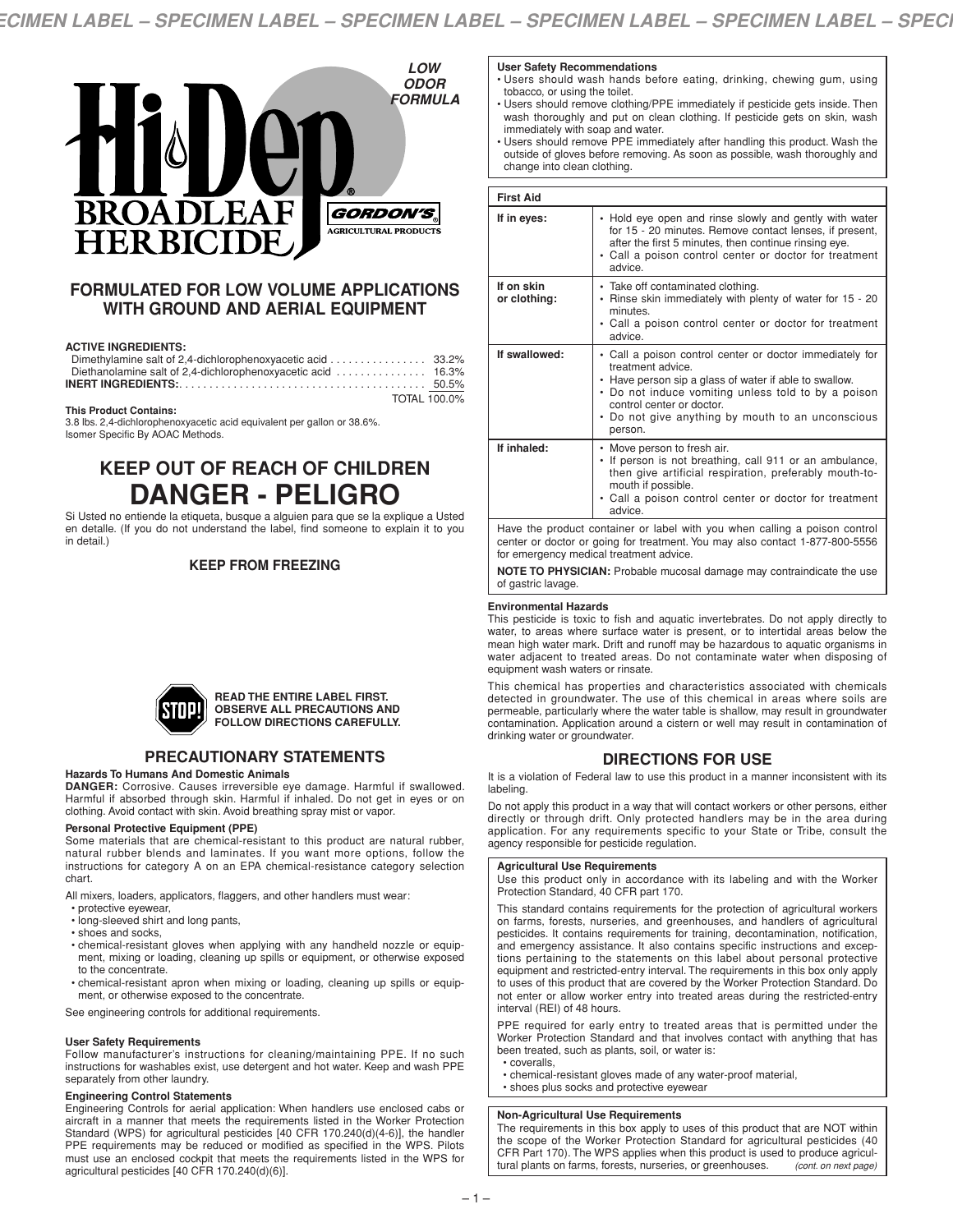

# **FORMULATED FOR LOW VOLUME APPLICATIONS WITH GROUND AND AERIAL EQUIPMENT**

### **ACTIVE INGREDIENTS:**

| Dimethylamine salt of 2.4-dichlorophenoxyacetic acid 33.2% |  |
|------------------------------------------------------------|--|
|                                                            |  |
|                                                            |  |
| TOTAL 100.0%                                               |  |

### **This Product Contains:**

3.8 lbs. 2,4-dichlorophenoxyacetic acid equivalent per gallon or 38.6%. Isomer Specific By AOAC Methods.

# **KEEP OUT OF REACH OF CHILDREN DANGER - PELIGRO**

Si Usted no entiende la etiqueta, busque a alguien para que se la explique a Usted en detalle. (If you do not understand the label, find someone to explain it to you in detail.)

### **KEEP FROM FREEZING**



#### **READ THE ENTIRE LABEL FIRST. OBSERVE ALL PRECAUTIONS AND FOLLOW DIRECTIONS CAREFULLY.**

# **PRECAUTIONARY STATEMENTS**

#### **Hazards To Humans And Domestic Animals**

**DANGER:** Corrosive. Causes irreversible eye damage. Harmful if swallowed. Harmful if absorbed through skin. Harmful if inhaled. Do not get in eyes or on clothing. Avoid contact with skin. Avoid breathing spray mist or vapor.

### **Personal Protective Equipment (PPE)**

Some materials that are chemical-resistant to this product are natural rubber, natural rubber blends and laminates. If you want more options, follow the instructions for category A on an EPA chemical-resistance category selection chart.

All mixers, loaders, applicators, flaggers, and other handlers must wear:

- protective eyewear,
- long-sleeved shirt and long pants,
- shoes and socks,
- chemical-resistant gloves when applying with any handheld nozzle or equipment, mixing or loading, cleaning up spills or equipment, or otherwise exposed to the concentrate.
- chemical-resistant apron when mixing or loading, cleaning up spills or equipment, or otherwise exposed to the concentrate.

See engineering controls for additional requirements.

#### **User Safety Requirements**

Follow manufacturer's instructions for cleaning/maintaining PPE. If no such instructions for washables exist, use detergent and hot water. Keep and wash PPE separately from other laundry.

#### **Engineering Control Statements**

Engineering Controls for aerial application: When handlers use enclosed cabs or aircraft in a manner that meets the requirements listed in the Worker Protection Standard (WPS) for agricultural pesticides [40 CFR 170.240(d)(4-6)], the handler PPE requirements may be reduced or modified as specified in the WPS. Pilots must use an enclosed cockpit that meets the requirements listed in the WPS for agricultural pesticides [40 CFR 170.240(d)(6)].

### **User Safety Recommendations**

- Users should wash hands before eating, drinking, chewing gum, using tobacco, or using the toilet.
- Users should remove clothing/PPE immediately if pesticide gets inside. Then wash thoroughly and put on clean clothing. If pesticide gets on skin, wash immediately with soap and water.
- Users should remove PPE immediately after handling this product. Wash the outside of gloves before removing. As soon as possible, wash thoroughly and change into clean clothing.

| <b>First Aid</b>           |                                                                                                                                                                                                                                                                                             |
|----------------------------|---------------------------------------------------------------------------------------------------------------------------------------------------------------------------------------------------------------------------------------------------------------------------------------------|
| If in eyes:                | • Hold eye open and rinse slowly and gently with water<br>for 15 - 20 minutes. Remove contact lenses, if present,<br>after the first 5 minutes, then continue rinsing eye.<br>• Call a poison control center or doctor for treatment<br>advice.                                             |
| If on skin<br>or clothing: | • Take off contaminated clothing.<br>• Rinse skin immediately with plenty of water for 15 - 20<br>minutes.<br>• Call a poison control center or doctor for treatment<br>advice.                                                                                                             |
| If swallowed:              | • Call a poison control center or doctor immediately for<br>treatment advice.<br>• Have person sip a glass of water if able to swallow.<br>• Do not induce vomiting unless told to by a poison<br>control center or doctor.<br>• Do not give anything by mouth to an unconscious<br>person. |
| If inhaled:                | • Move person to fresh air.<br>• If person is not breathing, call 911 or an ambulance,<br>then give artificial respiration, preferably mouth-to-<br>mouth if possible.<br>• Call a poison control center or doctor for treatment<br>advice.                                                 |
|                            | Have the product container or label with you when calling a poison control                                                                                                                                                                                                                  |

center or doctor or going for treatment. You may also contact 1-877-800-5556 for emergency medical treatment advice.

**NOTE TO PHYSICIAN:** Probable mucosal damage may contraindicate the use of gastric lavage.

#### **Environmental Hazards**

This pesticide is toxic to fish and aquatic invertebrates. Do not apply directly to water, to areas where surface water is present, or to intertidal areas below the mean high water mark. Drift and runoff may be hazardous to aquatic organisms in water adjacent to treated areas. Do not contaminate water when disposing of equipment wash waters or rinsate.

This chemical has properties and characteristics associated with chemicals detected in groundwater. The use of this chemical in areas where soils are permeable, particularly where the water table is shallow, may result in groundwater contamination. Application around a cistern or well may result in contamination of drinking water or groundwater.

# **DIRECTIONS FOR USE**

It is a violation of Federal law to use this product in a manner inconsistent with its labeling.

Do not apply this product in a way that will contact workers or other persons, either directly or through drift. Only protected handlers may be in the area during application. For any requirements specific to your State or Tribe, consult the agency responsible for pesticide regulation.

#### **Agricultural Use Requirements**

Use this product only in accordance with its labeling and with the Worker Protection Standard, 40 CFR part 170.

This standard contains requirements for the protection of agricultural workers on farms, forests, nurseries, and greenhouses, and handlers of agricultural pesticides. It contains requirements for training, decontamination, notification, and emergency assistance. It also contains specific instructions and exceptions pertaining to the statements on this label about personal protective equipment and restricted-entry interval. The requirements in this box only apply to uses of this product that are covered by the Worker Protection Standard. Do not enter or allow worker entry into treated areas during the restricted-entry interval (REI) of 48 hours.

PPE required for early entry to treated areas that is permitted under the Worker Protection Standard and that involves contact with anything that has been treated, such as plants, soil, or water is:

- coveralls,
- chemical-resistant gloves made of any water-proof material, • shoes plus socks and protective eyewear
- 

### **Non-Agricultural Use Requirements**

The requirements in this box apply to uses of this product that are NOT within the scope of the Worker Protection Standard for agricultural pesticides (40 CFR Part 170). The WPS applies when this product is used to produce agricultural plants on farms, forests, nurseries, or greenhouses. *(cont. on next page)*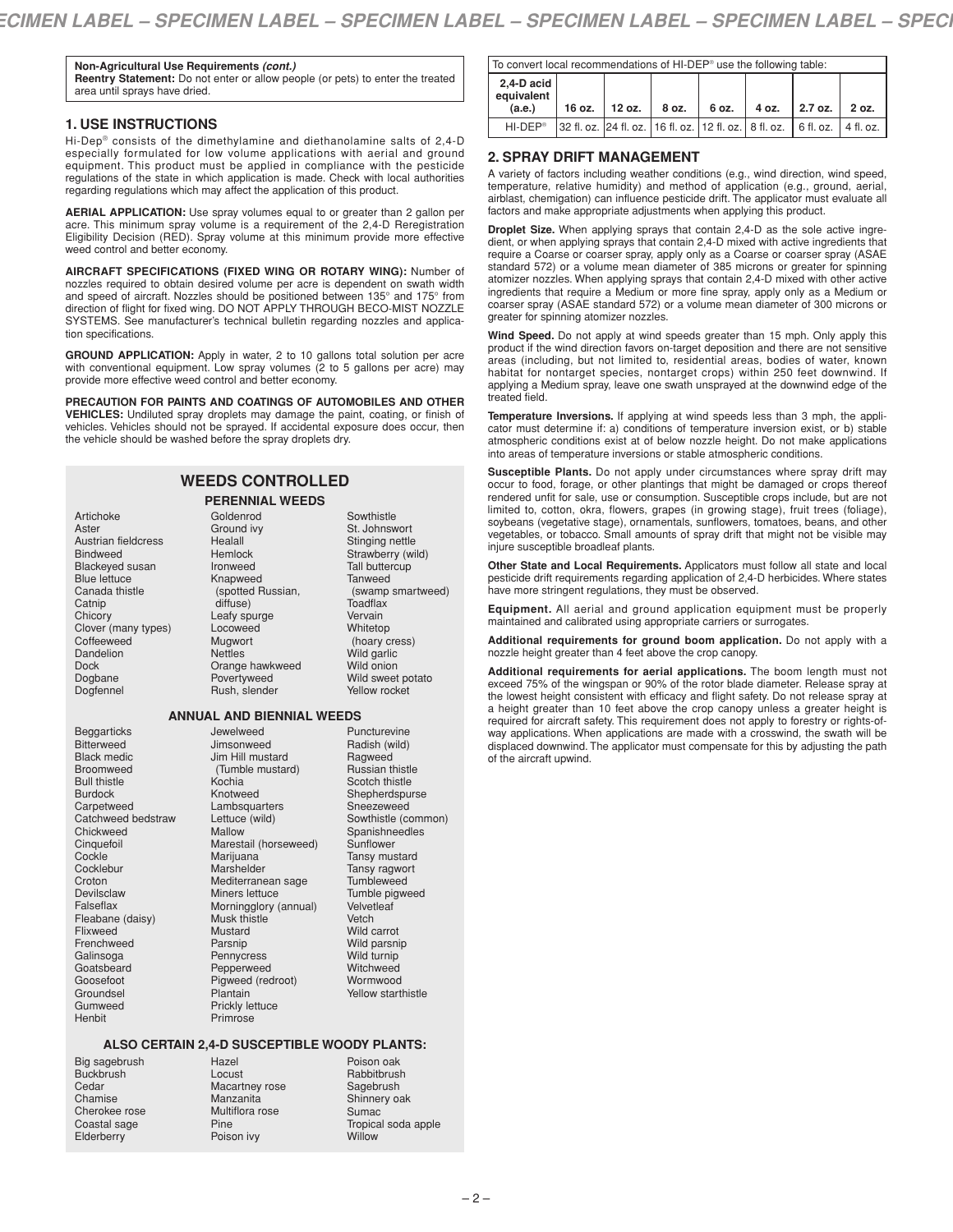**Non-Agricultural Use Requirements** *(cont.)* **Reentry Statement:** Do not enter or allow people (or pets) to enter the treated area until sprays have dried.

### **1. USE INSTRUCTIONS**

Hi-Dep® consists of the dimethylamine and diethanolamine salts of 2,4-D especially formulated for low volume applications with aerial and ground equipment. This product must be applied in compliance with the pesticide regulations of the state in which application is made. Check with local authorities regarding regulations which may affect the application of this product.

**AERIAL APPLICATION:** Use spray volumes equal to or greater than 2 gallon per acre. This minimum spray volume is a requirement of the 2,4-D Reregistration Eligibility Decision (RED). Spray volume at this minimum provide more effective weed control and better economy.

**AIRCRAFT SPECIFICATIONS (FIXED WING OR ROTARY WING):** Number of nozzles required to obtain desired volume per acre is dependent on swath width and speed of aircraft. Nozzles should be positioned between 135° and 175° from direction of flight for fixed wing. DO NOT APPLY THROUGH BECO-MIST NOZZLE SYSTEMS. See manufacturer's technical bulletin regarding nozzles and application specifications.

**GROUND APPLICATION:** Apply in water, 2 to 10 gallons total solution per acre with conventional equipment. Low spray volumes (2 to 5 gallons per acre) may provide more effective weed control and better economy.

**PRECAUTION FOR PAINTS AND COATINGS OF AUTOMOBILES AND OTHER VEHICLES:** Undiluted spray droplets may damage the paint, coating, or finish of vehicles. Vehicles should not be sprayed. If accidental exposure does occur, then the vehicle should be washed before the spray droplets dry.

| <b>WEEDS CONTROLLED</b> |
|-------------------------|
|-------------------------|

#### **PERENNIAL WEEDS** Goldenrod

| Artichoke              |
|------------------------|
| Aster                  |
| Austrian fieldcress    |
| <b>Bindweed</b>        |
| <b>Blackeyed susan</b> |
| <b>Blue lettuce</b>    |
| Canada thistle         |
| Catnip                 |
| Chicory                |
| Clover (many types)    |
| Coffeeweed             |
| Dandelion              |
| Dock                   |
| Dogbane                |
| Dogfennel              |

Ground ivy Healall Hemlock Ironweed Knapweed (spotted Russian, diffuse) Leafy spurge Locoweed Mugwort **Nettles** Orange hawkweed Povertyweed Rush, slender

### **ANNUAL AND BIENNIAL WEEDS**

Beggarticks Bitterweed Black medic Broomweed Bull thistle Burdock Carpetweed Catchweed bedstraw Chickweed **Cinquefoil** Cockle **Cocklebur** Croton Devilsclaw Falseflax Fleabane (daisy) Flixweed Frenchweed Galinsoga **Goatsbeard** Goosefoot **Groundsel** Gumweed **Henbit** 

Jewelweed Jimsonweed Jim Hill mustard (Tumble mustard) Kochia Knotweed Lambsquarters Lettuce (wild) Mallow Marestail (horseweed) Marijuana **Marshelder** Mediterranean sage Miners lettuce Morningglory (annual) Musk thistle Mustard Parsnip Pennycress Pepperweed Pigweed (redroot) Plantain Prickly lettuce

Puncturevine Radish (wild) Ragweed Russian thistle Scotch thistle Shepherdspurse Sneezeweed Sowthistle (common) Spanishneedles Sunflower Tansy mustard Tansy ragwort Tumbleweed Tumble pigweed **Velvetleaf** Vetch Wild carrot Wild parsnip Wild turnip **Witchweed** Wormwood Yellow starthistle

**Sowthistle** St. Johnswort Stinging nettle Strawberry (wild) Tall buttercup **Tanweed** 

**Toadflax** Vervain Whitetop (hoary cress) Wild garlic Wild onion Wild sweet potato Yellow rocket

(swamp smartweed)

### **ALSO CERTAIN 2,4-D SUSCEPTIBLE WOODY PLANTS:**

Big sagebrush **Buckbrush** Cedar Chamise Cherokee rose Coastal sage Elderberry

Hazel Locust Macartney rose Manzanita Multiflora rose Pine Poison ivy

Primrose

Poison oak **Rabbitbrush** Sagebrush Shinnery oak Sumac Tropical soda apple **Willow** 

|                                    | To convert local recommendations of HI-DEP <sup>®</sup> use the following table: |                         |                                                                                    |  |  |                                 |  |
|------------------------------------|----------------------------------------------------------------------------------|-------------------------|------------------------------------------------------------------------------------|--|--|---------------------------------|--|
| 2,4-D acid<br>equivalent<br>(a.e.) |                                                                                  | 16 oz.   12 oz.   8 oz. |                                                                                    |  |  | 6 oz.   4 oz.   2.7 oz.   2 oz. |  |
| HI-DEP <sup>®</sup>                |                                                                                  |                         | 32 fl. oz.  24 fl. oz.  16 fl. oz.  12 fl. oz.   8 fl. oz.   6 fl. oz.   4 fl. oz. |  |  |                                 |  |

### **2. SPRAY DRIFT MANAGEMENT**

A variety of factors including weather conditions (e.g., wind direction, wind speed, temperature, relative humidity) and method of application (e.g., ground, aerial, airblast, chemigation) can influence pesticide drift. The applicator must evaluate all factors and make appropriate adjustments when applying this product.

**Droplet Size.** When applying sprays that contain 2,4-D as the sole active ingredient, or when applying sprays that contain 2,4-D mixed with active ingredients that require a Coarse or coarser spray, apply only as a Coarse or coarser spray (ASAE standard 572) or a volume mean diameter of 385 microns or greater for spinning atomizer nozzles. When applying sprays that contain 2,4-D mixed with other active ingredients that require a Medium or more fine spray, apply only as a Medium or coarser spray (ASAE standard 572) or a volume mean diameter of 300 microns or greater for spinning atomizer nozzles.

**Wind Speed.** Do not apply at wind speeds greater than 15 mph. Only apply this product if the wind direction favors on-target deposition and there are not sensitive areas (including, but not limited to, residential areas, bodies of water, known habitat for nontarget species, nontarget crops) within 250 feet downwind. If applying a Medium spray, leave one swath unsprayed at the downwind edge of the treated field.

**Temperature Inversions.** If applying at wind speeds less than 3 mph, the applicator must determine if: a) conditions of temperature inversion exist, or b) stable atmospheric conditions exist at of below nozzle height. Do not make applications into areas of temperature inversions or stable atmospheric conditions.

**Susceptible Plants.** Do not apply under circumstances where spray drift may occur to food, forage, or other plantings that might be damaged or crops thereof rendered unfit for sale, use or consumption. Susceptible crops include, but are not limited to, cotton, okra, flowers, grapes (in growing stage), fruit trees (foliage), soybeans (vegetative stage), ornamentals, sunflowers, tomatoes, beans, and other vegetables, or tobacco. Small amounts of spray drift that might not be visible may injure susceptible broadleaf plants.

**Other State and Local Requirements.** Applicators must follow all state and local pesticide drift requirements regarding application of 2,4-D herbicides. Where states have more stringent regulations, they must be observed.

**Equipment.** All aerial and ground application equipment must be properly maintained and calibrated using appropriate carriers or surrogates.

**Additional requirements for ground boom application.** Do not apply with a nozzle height greater than 4 feet above the crop canopy.

**Additional requirements for aerial applications.** The boom length must not exceed 75% of the wingspan or 90% of the rotor blade diameter. Release spray at the lowest height consistent with efficacy and flight safety. Do not release spray at a height greater than 10 feet above the crop canopy unless a greater height is required for aircraft safety. This requirement does not apply to forestry or rights-ofway applications. When applications are made with a crosswind, the swath will be displaced downwind. The applicator must compensate for this by adjusting the path of the aircraft upwind.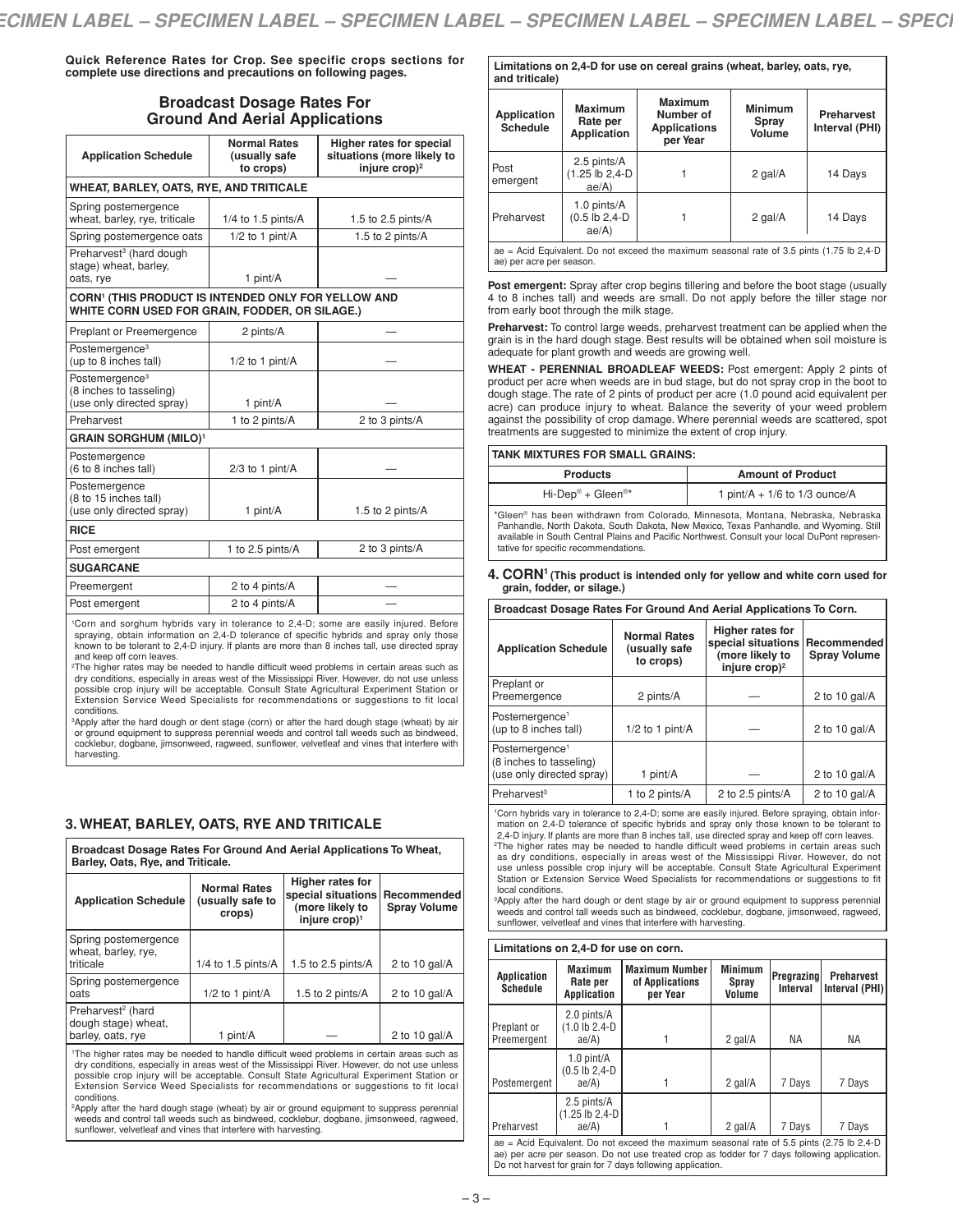**Quick Reference Rates for Crop. See specific crops sections for complete use directions and precautions on following pages.**

# **Broadcast Dosage Rates For Ground And Aerial Applications**

| <b>Application Schedule</b>                                                                                       | <b>Normal Rates</b><br>(usually safe<br>to crops) | Higher rates for special<br>situations (more likely to<br>injure $\cosh^2$ |
|-------------------------------------------------------------------------------------------------------------------|---------------------------------------------------|----------------------------------------------------------------------------|
| <b>WHEAT, BARLEY, OATS, RYE, AND TRITICALE</b>                                                                    |                                                   |                                                                            |
| Spring postemergence<br>wheat, barley, rye, triticale                                                             | $1/4$ to 1.5 pints/A                              | 1.5 to 2.5 pints/ $A$                                                      |
| Spring postemergence oats                                                                                         | $1/2$ to 1 pint/A                                 | 1.5 to 2 pints/A                                                           |
| Preharvest <sup>3</sup> (hard dough<br>stage) wheat, barley,<br>oats, rye                                         | 1 pint/A                                          |                                                                            |
| CORN <sup>1</sup> (THIS PRODUCT IS INTENDED ONLY FOR YELLOW AND<br>WHITE CORN USED FOR GRAIN, FODDER, OR SILAGE.) |                                                   |                                                                            |
| Preplant or Preemergence                                                                                          | 2 pints/A                                         |                                                                            |
| Postemergence <sup>3</sup><br>(up to 8 inches tall)                                                               | $1/2$ to 1 pint/A                                 |                                                                            |
| Postemergence <sup>3</sup><br>(8 inches to tasseling)<br>(use only directed spray)                                | 1 pint/A                                          |                                                                            |
| Preharvest                                                                                                        | 1 to 2 pints/A                                    | 2 to 3 pints/A                                                             |
| <b>GRAIN SORGHUM (MILO)1</b>                                                                                      |                                                   |                                                                            |
| Postemergence<br>(6 to 8 inches tall)                                                                             | $2/3$ to 1 pint/A                                 |                                                                            |
| Postemergence<br>(8 to 15 inches tall)<br>(use only directed spray)                                               | 1 pint/A                                          | 1.5 to 2 pints/A                                                           |
| <b>RICE</b>                                                                                                       |                                                   |                                                                            |
| Post emergent                                                                                                     | 1 to 2.5 pints/A                                  | 2 to 3 pints/A                                                             |
| <b>SUGARCANE</b>                                                                                                  |                                                   |                                                                            |
| Preemergent                                                                                                       | 2 to 4 pints/A                                    |                                                                            |
| Post emergent                                                                                                     | 2 to 4 pints/A                                    |                                                                            |
|                                                                                                                   |                                                   |                                                                            |

1Corn and sorghum hybrids vary in tolerance to 2,4-D; some are easily injured. Before spraying, obtain information on 2,4-D tolerance of specific hybrids and spray only those known to be tolerant to 2,4-D injury. If plants are more than 8 inches tall, use directed spray and keep off corn leaves.

2The higher rates may be needed to handle difficult weed problems in certain areas such as dry conditions, especially in areas west of the Mississippi River. However, do not use unless possible crop injury will be acceptable. Consult State Agricultural Experiment Station or Extension Service Weed Specialists for recommendations or suggestions to fit local conditions.

<sup>3</sup>Apply after the hard dough or dent stage (corn) or after the hard dough stage (wheat) by air or ground equipment to suppress perennial weeds and control tall weeds such as bindweed, cocklebur, dogbane, jimsonweed, ragweed, sunflower, velvetleaf and vines that interfere with harvesting.

# **3. WHEAT, BARLEY, OATS, RYE AND TRITICALE**

| Broadcast Dosage Rates For Ground And Aerial Applications To Wheat,<br>Barley, Oats, Rye, and Triticale. |                                                   |                                                                                        |                                    |  |  |
|----------------------------------------------------------------------------------------------------------|---------------------------------------------------|----------------------------------------------------------------------------------------|------------------------------------|--|--|
| <b>Application Schedule</b>                                                                              | <b>Normal Rates</b><br>(usually safe to<br>crops) | Higher rates for<br>special situations<br>(more likely to<br>injure crop) <sup>1</sup> | Recommended<br><b>Spray Volume</b> |  |  |
| Spring postemergence<br>wheat, barley, rye,<br>triticale                                                 | $1/4$ to 1.5 pints/A                              | 1.5 to 2.5 pints/A                                                                     | 2 to 10 gal/ $A$                   |  |  |
| Spring postemergence<br>oats                                                                             | $1/2$ to 1 pint/A                                 | 1.5 to 2 pints/A                                                                       | 2 to 10 gal/ $A$                   |  |  |
| Preharvest <sup>2</sup> (hard<br>dough stage) wheat.<br>barley, oats, rye                                | 1 pint/A                                          |                                                                                        | 2 to 10 gal/ $A$                   |  |  |

1The higher rates may be needed to handle difficult weed problems in certain areas such as dry conditions, especially in areas west of the Mississippi River. However, do not use unless possible crop injury will be acceptable. Consult State Agricultural Experiment Station or Extension Service Weed Specialists for recommendations or suggestions to fit local conditions.

<sup>2</sup>Apply after the hard dough stage (wheat) by air or ground equipment to suppress perennial weeds and control tall weeds such as bindweed, cocklebur, dogbane, jimsonweed, ragweed, sunflower, velvetleaf and vines that interfere with harvesting.

#### **Limitations on 2,4-D for use on cereal grains (wheat, barley, oats, rye, and triticale)**

| and triticale)                 |                                                                                            |                                                                |                                   |                                     |
|--------------------------------|--------------------------------------------------------------------------------------------|----------------------------------------------------------------|-----------------------------------|-------------------------------------|
| Application<br><b>Schedule</b> | <b>Maximum</b><br>Rate per<br>Application                                                  | <b>Maximum</b><br>Number of<br><b>Applications</b><br>per Year | <b>Minimum</b><br>Spray<br>Volume | <b>Preharvest</b><br>Interval (PHI) |
| Post<br>emergent               | 2.5 pints/A<br>(1.25 lb 2,4-D<br>ae/A                                                      |                                                                | 2 gal/A                           | 14 Days                             |
| Preharvest                     | 1.0 pints/A<br>$(0.5$ lb $2,4$ -D<br>ae/A)                                                 |                                                                | 2 gal/A                           | 14 Days                             |
|                                | ae = Acid Equivalent. Do not exceed the maximum seasonal rate of 3.5 pints (1.75 lb 2,4-D) |                                                                |                                   |                                     |

ae) per acre per season.

**Post emergent:** Spray after crop begins tillering and before the boot stage (usually 4 to 8 inches tall) and weeds are small. Do not apply before the tiller stage nor from early boot through the milk stage.

**Preharvest:** To control large weeds, preharvest treatment can be applied when the grain is in the hard dough stage. Best results will be obtained when soil moisture is adequate for plant growth and weeds are growing well.

**WHEAT - PERENNIAL BROADLEAF WEEDS:** Post emergent: Apply 2 pints of product per acre when weeds are in bud stage, but do not spray crop in the boot to dough stage. The rate of 2 pints of product per acre (1.0 pound acid equivalent per acre) can produce injury to wheat. Balance the severity of your weed problem against the possibility of crop damage. Where perennial weeds are scattered, spot treatments are suggested to minimize the extent of crop injury.

| TANK MIXTURES FOR SMALL GRAINS:                                                                                                                                            |                                   |  |  |
|----------------------------------------------------------------------------------------------------------------------------------------------------------------------------|-----------------------------------|--|--|
| <b>Products</b>                                                                                                                                                            | <b>Amount of Product</b>          |  |  |
| $Hi\text{-}Dep^{\circledcirc} + Gleen^{\circledcirc*}$                                                                                                                     | 1 pint/A + $1/6$ to $1/3$ ounce/A |  |  |
| *Gleen® has been withdrawn from Colorado, Minnesota, Montana, Nebraska, Nebraska<br>Panhandle, North Dakota, South Dakota, New Mexico, Texas Panhandle, and Wyoming, Still |                                   |  |  |

Panhandle, North Dakota, South Dakota, New Mexico, Texas Panhandle, and Wyoming. Still available in South Central Plains and Pacific Northwest. Consult your local DuPont representative for specific recommendations.

#### **4. CORN1 (This product is intended only for yellow and white corn used for grain, fodder, or silage.) Broadcast Dosage Rates For Ground And Aerial Applications To Corn.**

| Broadcast Dosage Hates For Ground And Aerial Applications to Corn. |                                                    |                                                                                           |                     |
|--------------------------------------------------------------------|----------------------------------------------------|-------------------------------------------------------------------------------------------|---------------------|
| <b>Application Schedule</b>                                        | <b>Normal Rates</b><br>(usually safe)<br>to crops) | Higher rates for<br>special situations Recommended<br>(more likely to<br>injure $\cosh^2$ | <b>Spray Volume</b> |
|                                                                    |                                                    |                                                                                           |                     |

| Preplant or<br>Preemergence                           | 2 pints/A         |                  | 2 to 10 gal/ $A$ |
|-------------------------------------------------------|-------------------|------------------|------------------|
| Postemergence <sup>1</sup><br>(up to 8 inches tall)   | $1/2$ to 1 pint/A |                  | 2 to 10 gal/ $A$ |
| Postemergence <sup>1</sup><br>(8 inches to tasseling) |                   |                  |                  |
| (use only directed spray)                             | 1 pint/A          |                  | 2 to 10 gal/ $A$ |
| Preharvest <sup>3</sup>                               | 1 to 2 pints/A    | 2 to 2.5 pints/A | 2 to 10 gal/ $A$ |

<sup>1</sup>Corn hybrids vary in tolerance to 2,4-D; some are easily injured. Before spraying, obtain infor mation on 2,4-D tolerance of specific hybrids and spray only those known to be tolerant to 2,4-D injury. If plants are more than 8 inches tall, use directed spray and keep off corn leaves. <sup>2</sup>The higher rates may be needed to handle difficult weed problems in certain areas such <sup>2</sup>The higher rates may be needed to handle difficult weed problems in certain areas such as dry conditions, especially in areas west of the Mississippi River. However, do not use unless possible crop injury will be acceptable. Consult State Agricultural Experiment Station or Extension Service Weed Specialists for recommendations or suggestions to fit local conditions.

3Apply after the hard dough or dent stage by air or ground equipment to suppress perennial weeds and control tall weeds such as bindweed, cocklebur, dogbane, jimsonweed, ragweed, sunflower, velvetleaf and vines that interfere with harvesting.

**Limitations on 2,4-D for use on corn.**

| Application<br>Schedule                                                                                                                                                                                                                                  | <b>Maximum</b><br>Rate per<br>Application         | <b>Maximum Number</b><br>of Applications<br>per Year | <b>Minimum</b><br><b>Spray</b><br>Volume | Pregrazing<br><b>Interval</b> | <b>Preharvest</b><br>Interval (PHI) |
|----------------------------------------------------------------------------------------------------------------------------------------------------------------------------------------------------------------------------------------------------------|---------------------------------------------------|------------------------------------------------------|------------------------------------------|-------------------------------|-------------------------------------|
| Preplant or<br>Preemergent                                                                                                                                                                                                                               | 2.0 pints/A<br>$(1.0$ lb $2.4 - D$<br>ae/A)       |                                                      | 2 gal/A                                  | ΝA                            | NA.                                 |
| Postemergent                                                                                                                                                                                                                                             | $1.0$ pint/ $A$<br>$(0.5$ lb $2,4$ -D<br>$ae/A$ ) |                                                      | 2 gal/A                                  | 7 Days                        | 7 Days                              |
| Preharvest                                                                                                                                                                                                                                               | 2.5 pints/A<br>$1.25$ lb $2.4 - D$<br>ae/A)       |                                                      | 2 gal/A                                  | 7 Days                        | 7 Days                              |
| ae = Acid Equivalent. Do not exceed the maximum seasonal rate of 5.5 pints (2.75 lb 2.4-D)<br>ae) per acre per season. Do not use treated crop as fodder for 7 days following application.<br>Do not harvest for grain for 7 days following application. |                                                   |                                                      |                                          |                               |                                     |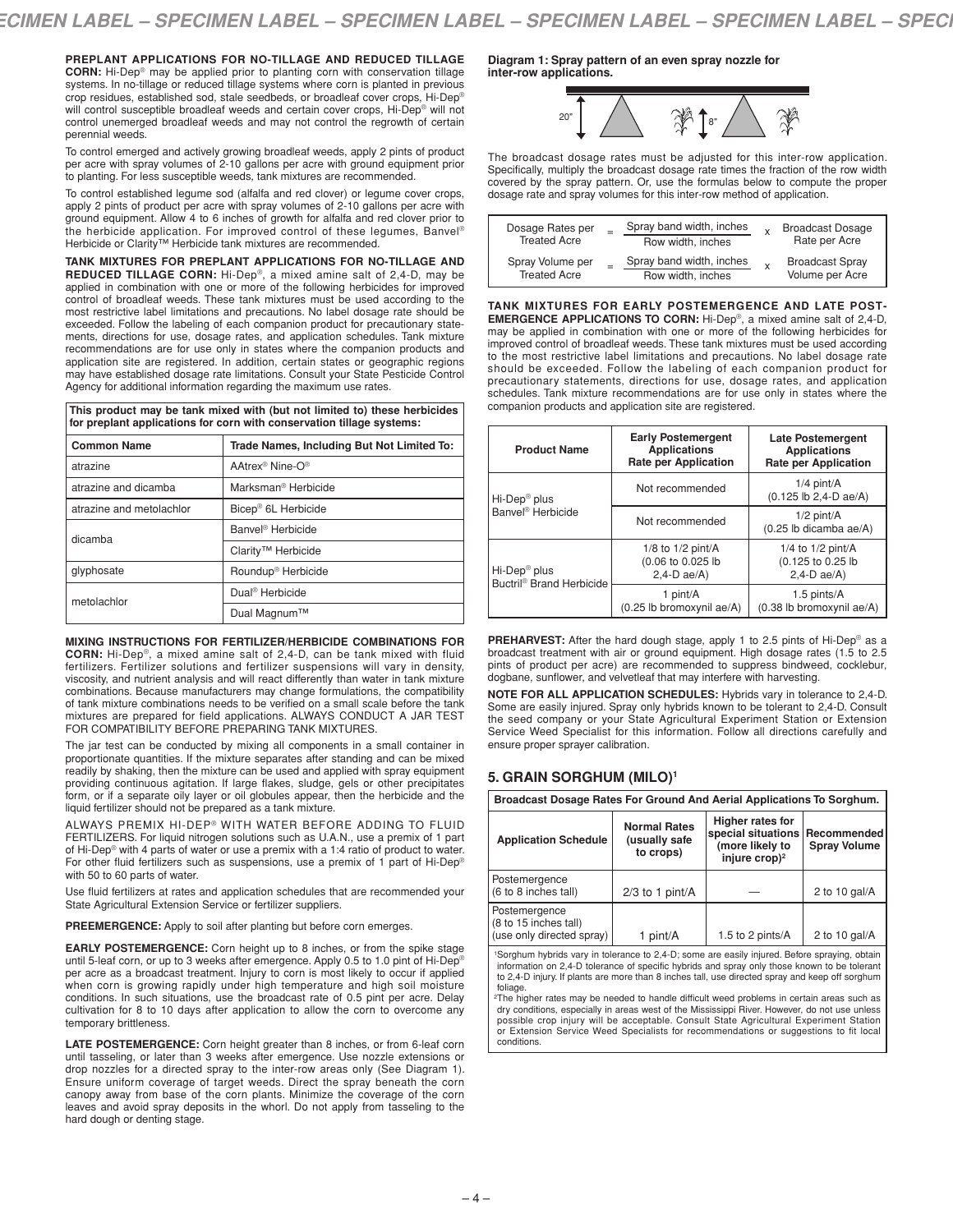**PREPLANT APPLICATIONS FOR NO-TILLAGE AND REDUCED TILLAGE CORN:** Hi-Dep® may be applied prior to planting corn with conservation tillage systems. In no-tillage or reduced tillage systems where corn is planted in previous crop residues, established sod, stale seedbeds, or broadleaf cover crops, Hi-Dep® will control susceptible broadleaf weeds and certain cover crops, Hi-Dep® will not control unemerged broadleaf weeds and may not control the regrowth of certain perennial weeds.

To control emerged and actively growing broadleaf weeds, apply 2 pints of product per acre with spray volumes of 2-10 gallons per acre with ground equipment prior to planting. For less susceptible weeds, tank mixtures are recommended.

To control established legume sod (alfalfa and red clover) or legume cover crops, apply 2 pints of product per acre with spray volumes of 2-10 gallons per acre with ground equipment. Allow 4 to 6 inches of growth for alfalfa and red clover prior to the herbicide application. For improved control of these legumes, Banvel ® Herbicide or Clarity™ Herbicide tank mixtures are recommended.

**TANK MIXTURES FOR PREPLANT APPLICATIONS FOR NO-TILLAGE AND REDUCED TILLAGE CORN:** Hi-Dep®, a mixed amine salt of 2,4-D, may be applied in combination with one or more of the following herbicides for improved control of broadleaf weeds. These tank mixtures must be used according to the most restrictive label limitations and precautions. No label dosage rate should be exceeded. Follow the labeling of each companion product for precautionary statements, directions for use, dosage rates, and application schedules. Tank mixture recommendations are for use only in states where the companion products and application site are registered. In addition, certain states or geographic regions may have established dosage rate limitations. Consult your State Pesticide Control Agency for additional information regarding the maximum use rates.

**This product may be tank mixed with (but not limited to) these herbicides for preplant applications for corn with conservation tillage systems:**

| <b>Common Name</b>       | Trade Names, Including But Not Limited To:                         |  |
|--------------------------|--------------------------------------------------------------------|--|
| atrazine                 | AAtrex <sup>®</sup> Nine-O <sup>®</sup>                            |  |
| atrazine and dicamba     | Marksman <sup>®</sup> Herbicide<br>Bicep <sup>®</sup> 6L Herbicide |  |
| atrazine and metolachlor |                                                                    |  |
| dicamba                  | Banvel <sup>®</sup> Herbicide                                      |  |
|                          | Clarity <sup>™</sup> Herbicide                                     |  |
| glyphosate               | Roundup <sup>®</sup> Herbicide                                     |  |
| metolachlor              | Dual <sup>®</sup> Herbicide                                        |  |
|                          | Dual Magnum™                                                       |  |

**MIXING INSTRUCTIONS FOR FERTILIZER/HERBICIDE COMBINATIONS FOR CORN:** Hi-Dep®, a mixed amine salt of 2,4-D, can be tank mixed with fluid fertilizers. Fertilizer solutions and fertilizer suspensions will vary in density, viscosity, and nutrient analysis and will react differently than water in tank mixture combinations. Because manufacturers may change formulations, the compatibility of tank mixture combinations needs to be verified on a small scale before the tank mixtures are prepared for field applications. ALWAYS CONDUCT A JAR TEST FOR COMPATIBILITY BEFORE PREPARING TANK MIXTURES.

The jar test can be conducted by mixing all components in a small container in proportionate quantities. If the mixture separates after standing and can be mixed readily by shaking, then the mixture can be used and applied with spray equipment providing continuous agitation. If large flakes, sludge, gels or other precipitates form, or if a separate oily layer or oil globules appear, then the herbicide and the liquid fertilizer should not be prepared as a tank mixture.

ALWAYS PREMIX HI-DEP® WITH WATER BEFORE ADDING TO FLUID FERTILIZERS. For liquid nitrogen solutions such as U.A.N., use a premix of 1 part of Hi-Dep® with 4 parts of water or use a premix with a 1:4 ratio of product to water. For other fluid fertilizers such as suspensions, use a premix of 1 part of Hi-Dep® with 50 to 60 parts of water.

Use fluid fertilizers at rates and application schedules that are recommended your State Agricultural Extension Service or fertilizer suppliers.

**PREEMERGENCE:** Apply to soil after planting but before corn emerges.

**EARLY POSTEMERGENCE:** Corn height up to 8 inches, or from the spike stage until 5-leaf corn, or up to 3 weeks after emergence. Apply 0.5 to 1.0 pint of Hi-Dep® per acre as a broadcast treatment. Injury to corn is most likely to occur if applied when corn is growing rapidly under high temperature and high soil moisture conditions. In such situations, use the broadcast rate of 0.5 pint per acre. Delay cultivation for 8 to 10 days after application to allow the corn to overcome any temporary brittleness.

**LATE POSTEMERGENCE:** Corn height greater than 8 inches, or from 6-leaf corn until tasseling, or later than 3 weeks after emergence. Use nozzle extensions or drop nozzles for a directed spray to the inter-row areas only (See Diagram 1). Ensure uniform coverage of target weeds. Direct the spray beneath the corn canopy away from base of the corn plants. Minimize the coverage of the corn leaves and avoid spray deposits in the whorl. Do not apply from tasseling to the hard dough or denting stage.

**Diagram 1: Spray pattern of an even spray nozzle for inter-row applications.**



The broadcast dosage rates must be adjusted for this inter-row application. Specifically, multiply the broadcast dosage rate times the fraction of the row width covered by the spray pattern. Or, use the formulas below to compute the proper dosage rate and spray volumes for this inter-row method of application.

| Dosage Rates per<br><b>Treated Acre</b> | Spray band width, inches<br>Row width, inches | $\mathsf{x}$ | <b>Broadcast Dosage</b><br>Rate per Acre  |
|-----------------------------------------|-----------------------------------------------|--------------|-------------------------------------------|
| Spray Volume per<br><b>Treated Acre</b> | Spray band width, inches<br>Row width, inches | $\mathsf{x}$ | <b>Broadcast Spray</b><br>Volume per Acre |

**TANK MIXTURES FOR EARLY POSTEMERGENCE AND LATE POST-EMERGENCE APPLICATIONS TO CORN:** Hi-Dep®, a mixed amine salt of 2,4-D, may be applied in combination with one or more of the following herbicides for improved control of broadleaf weeds. These tank mixtures must be used according to the most restrictive label limitations and precautions. No label dosage rate should be exceeded. Follow the labeling of each companion product for precautionary statements, directions for use, dosage rates, and application schedules. Tank mixture recommendations are for use only in states where the companion products and application site are registered.

| <b>Product Name</b>                                              | <b>Early Postemergent</b><br><b>Applications</b><br><b>Rate per Application</b> | Late Postemergent<br><b>Applications</b><br><b>Rate per Application</b> |  |
|------------------------------------------------------------------|---------------------------------------------------------------------------------|-------------------------------------------------------------------------|--|
| Hi-Dep <sup>®</sup> plus                                         | Not recommended                                                                 | $1/4$ pint/A<br>$(0.125 \text{ lb } 2.4 \text{ - } D \text{ ae}/A)$     |  |
| Banvel <sup>®</sup> Herbicide                                    | Not recommended                                                                 | $1/2$ pint/A<br>(0.25 lb dicamba ae/A)                                  |  |
| Hi-Dep <sup>®</sup> plus<br>Buctril <sup>®</sup> Brand Herbicide | 1/8 to $1/2$ pint/A<br>(0.06 to 0.025 lb<br>$2,4-D$ ae/A)                       | 1/4 to $1/2$ pint/A<br>(0.125 to 0.25 lb<br>$2,4-D$ ae/A)               |  |
|                                                                  | 1 pint/A<br>(0.25 lb bromoxynil ae/A)                                           | 1.5 pints/A<br>(0.38 lb bromoxynil ae/A)                                |  |

**PREHARVEST:** After the hard dough stage, apply 1 to 2.5 pints of Hi-Dep® as a broadcast treatment with air or ground equipment. High dosage rates (1.5 to 2.5 pints of product per acre) are recommended to suppress bindweed, cocklebur, dogbane, sunflower, and velvetleaf that may interfere with harvesting.

**NOTE FOR ALL APPLICATION SCHEDULES:** Hybrids vary in tolerance to 2,4-D. Some are easily injured. Spray only hybrids known to be tolerant to 2,4-D. Consult the seed company or your State Agricultural Experiment Station or Extension Service Weed Specialist for this information. Follow all directions carefully and ensure proper sprayer calibration.

### **5. GRAIN SORGHUM (MILO)1**

| Broadcast Dosage Rates For Ground And Aerial Applications To Sorghum. |                                                                                                                                    |                  |                                    |  |
|-----------------------------------------------------------------------|------------------------------------------------------------------------------------------------------------------------------------|------------------|------------------------------------|--|
| <b>Application Schedule</b>                                           | Higher rates for<br><b>Normal Rates</b><br>special situations<br>(usually safe<br>(more likely to<br>to crops)<br>injure $\cosh^2$ |                  | Recommended<br><b>Spray Volume</b> |  |
| Postemergence<br>(6 to 8 inches tall)                                 | $2/3$ to 1 pint/A                                                                                                                  |                  | 2 to 10 gal/ $A$                   |  |
| Postemergence<br>(8 to 15 inches tall)<br>(use only directed spray)   | pint/A                                                                                                                             | 1.5 to 2 pints/A | 2 to 10 gal/ $A$                   |  |

1Sorghum hybrids vary in tolerance to 2,4-D; some are easily injured. Before spraying, obtain information on 2,4-D tolerance of specific hybrids and spray only those known to be tolerant to 2,4-D injury. If plants are more than 8 inches tall, use directed spray and keep off sorghum foliage.

2The higher rates may be needed to handle difficult weed problems in certain areas such as dry conditions, especially in areas west of the Mississippi River. However, do not use unless possible crop injury will be acceptable. Consult State Agricultural Experiment Station or Extension Service Weed Specialists for recommendations or suggestions to fit local conditions.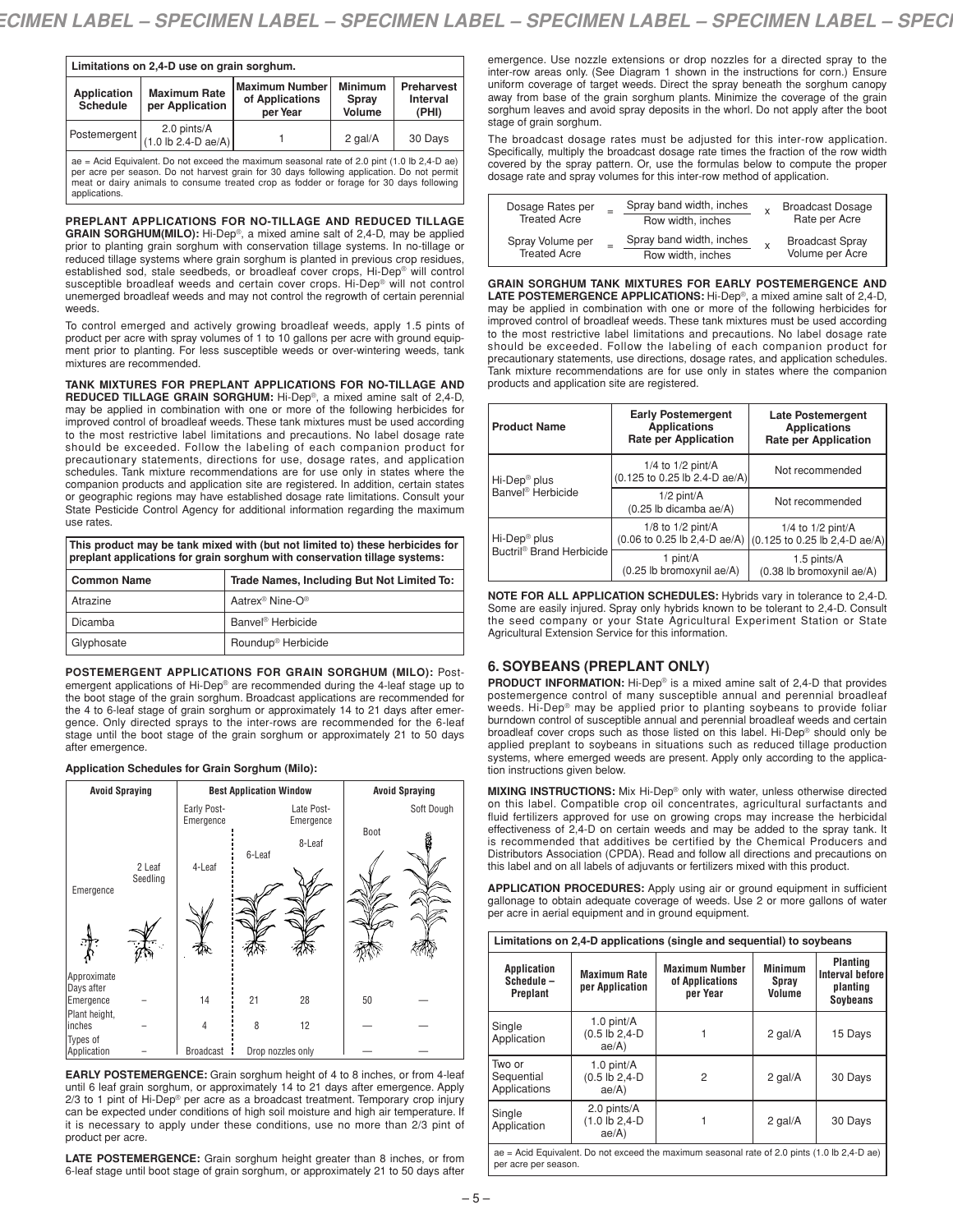| Limitations on 2,4-D use on grain sorghum.                                                                                                                                                                                                                                                                                         |                                                                                                                                                                               |  |         |         |  |
|------------------------------------------------------------------------------------------------------------------------------------------------------------------------------------------------------------------------------------------------------------------------------------------------------------------------------------|-------------------------------------------------------------------------------------------------------------------------------------------------------------------------------|--|---------|---------|--|
| <b>Application</b><br><b>Schedule</b>                                                                                                                                                                                                                                                                                              | <b>Minimum</b><br><b>Maximum Number</b><br><b>Preharvest</b><br><b>Maximum Rate</b><br>of Applications<br>Interval<br>Spray<br>per Application<br>Volume<br>per Year<br>(PHI) |  |         |         |  |
| 2.0 pints/A<br>Postemergent<br>$(1.0 \text{ lb } 2.4 \text{ -} D \text{ ae}/A)$                                                                                                                                                                                                                                                    |                                                                                                                                                                               |  | 2 gal/A | 30 Days |  |
| ae = Acid Equivalent. Do not exceed the maximum seasonal rate of 2.0 pint $(1.0 \text{ lb } 2.4 \text{--} D \text{ a}e)$<br>per acre per season. Do not harvest grain for 30 days following application. Do not permit<br>meat or dairy animals to consume treated crop as fodder or forage for 30 days following<br>applications. |                                                                                                                                                                               |  |         |         |  |

**PREPLANT APPLICATIONS FOR NO-TILLAGE AND REDUCED TILLAGE GRAIN SORGHUM(MILO):** Hi-Dep®, a mixed amine salt of 2,4-D, may be applied prior to planting grain sorghum with conservation tillage systems. In no-tillage or reduced tillage systems where grain sorghum is planted in previous crop residues, established sod, stale seedbeds, or broadleaf cover crops, Hi-Dep® will control susceptible broadleaf weeds and certain cover crops. Hi-Dep® will not control unemerged broadleaf weeds and may not control the regrowth of certain perennial weeds.

To control emerged and actively growing broadleaf weeds, apply 1.5 pints of product per acre with spray volumes of 1 to 10 gallons per acre with ground equipment prior to planting. For less susceptible weeds or over-wintering weeds, tank mixtures are recommended.

**TANK MIXTURES FOR PREPLANT APPLICATIONS FOR NO-TILLAGE AND REDUCED TILLAGE GRAIN SORGHUM:** Hi-Dep®, a mixed amine salt of 2,4-D, may be applied in combination with one or more of the following herbicides for improved control of broadleaf weeds. These tank mixtures must be used according to the most restrictive label limitations and precautions. No label dosage rate should be exceeded. Follow the labeling of each companion product for precautionary statements, directions for use, dosage rates, and application schedules. Tank mixture recommendations are for use only in states where the companion products and application site are registered. In addition, certain states or geographic regions may have established dosage rate limitations. Consult your State Pesticide Control Agency for additional information regarding the maximum use rates.

**This product may be tank mixed with (but not limited to) these herbicides for preplant applications for grain sorghum with conservation tillage systems:**

| <b>Common Name</b> | Trade Names, Including But Not Limited To: |
|--------------------|--------------------------------------------|
| Atrazine           | Aatrex <sup>®</sup> Nine-O®                |
| Dicamba            | Banvel <sup>®</sup> Herbicide              |
| Glyphosate         | Roundup <sup>®</sup> Herbicide             |

**POSTEMERGENT APPLICATIONS FOR GRAIN SORGHUM (MILO):** Postemergent applications of Hi-Dep® are recommended during the 4-leaf stage up to the boot stage of the grain sorghum. Broadcast applications are recommended for the 4 to 6-leaf stage of grain sorghum or approximately 14 to 21 days after emergence. Only directed sprays to the inter-rows are recommended for the 6-leaf stage until the boot stage of the grain sorghum or approximately 21 to 50 days after emergence.

#### **Application Schedules for Grain Sorghum (Milo):**



**EARLY POSTEMERGENCE:** Grain sorghum height of 4 to 8 inches, or from 4-leaf until 6 leaf grain sorghum, or approximately 14 to 21 days after emergence. Apply 2/3 to 1 pint of Hi-Dep® per acre as a broadcast treatment. Temporary crop injury can be expected under conditions of high soil moisture and high air temperature. If it is necessary to apply under these conditions, use no more than 2/3 pint of product per acre.

**LATE POSTEMERGENCE:** Grain sorghum height greater than 8 inches, or from 6-leaf stage until boot stage of grain sorghum, or approximately 21 to 50 days after

emergence. Use nozzle extensions or drop nozzles for a directed spray to the inter-row areas only. (See Diagram 1 shown in the instructions for corn.) Ensure uniform coverage of target weeds. Direct the spray beneath the sorghum canopy away from base of the grain sorghum plants. Minimize the coverage of the grain sorghum leaves and avoid spray deposits in the whorl. Do not apply after the boot stage of grain sorghum.

The broadcast dosage rates must be adjusted for this inter-row application. Specifically, multiply the broadcast dosage rate times the fraction of the row width covered by the spray pattern. Or, use the formulas below to compute the proper dosage rate and spray volumes for this inter-row method of application.

| Dosage Rates per<br><b>Treated Acre</b> | Spray band width, inches<br>Row width, inches | <b>Broadcast Dosage</b><br>Rate per Acre  |
|-----------------------------------------|-----------------------------------------------|-------------------------------------------|
| Spray Volume per<br><b>Treated Acre</b> | Spray band width, inches<br>Row width, inches | <b>Broadcast Spray</b><br>Volume per Acre |

**GRAIN SORGHUM TANK MIXTURES FOR EARLY POSTEMERGENCE AND LATE POSTEMERGENCE APPLICATIONS:** Hi-Dep®, a mixed amine salt of 2,4-D, may be applied in combination with one or more of the following herbicides for improved control of broadleaf weeds. These tank mixtures must be used according to the most restrictive label limitations and precautions. No label dosage rate should be exceeded. Follow the labeling of each companion product for precautionary statements, use directions, dosage rates, and application schedules. Tank mixture recommendations are for use only in states where the companion products and application site are registered.

| <b>Product Name</b>                  | <b>Early Postemergent</b><br><b>Applications</b><br><b>Rate per Application</b> | Late Postemergent<br><b>Applications</b><br><b>Rate per Application</b>           |
|--------------------------------------|---------------------------------------------------------------------------------|-----------------------------------------------------------------------------------|
| Hi-Dep <sup>®</sup> plus             | 1/4 to $1/2$ pint/A<br>(0.125 to 0.25 lb 2.4-D ae/A)                            | Not recommended                                                                   |
| Banvel <sup>®</sup> Herbicide        | $1/2$ pint/A<br>(0.25 lb dicamba ae/A)                                          | Not recommended                                                                   |
| Hi-Dep <sup>®</sup> plus             | 1/8 to $1/2$ pint/A<br>(0.06 to 0.25 lb 2,4-D ae/A)                             | 1/4 to $1/2$ pint/A<br>$(0.125 \text{ to } 0.25 \text{ lb } 2.4 \text{ -D ae/A})$ |
| Buctril <sup>®</sup> Brand Herbicide | 1 pint/A<br>(0.25 lb bromoxynil ae/A)                                           | 1.5 pints/A<br>(0.38 lb bromoxynil ae/A)                                          |

**NOTE FOR ALL APPLICATION SCHEDULES:** Hybrids vary in tolerance to 2,4-D. Some are easily injured. Spray only hybrids known to be tolerant to 2,4-D. Consult the seed company or your State Agricultural Experiment Station or State Agricultural Extension Service for this information.

### **6. SOYBEANS (PREPLANT ONLY)**

**PRODUCT INFORMATION:** Hi-Dep® is a mixed amine salt of 2,4-D that provides postemergence control of many susceptible annual and perennial broadleaf weeds. Hi-Dep® may be applied prior to planting soybeans to provide foliar burndown control of susceptible annual and perennial broadleaf weeds and certain broadleaf cover crops such as those listed on this label. Hi-Dep® should only be applied preplant to soybeans in situations such as reduced tillage production systems, where emerged weeds are present. Apply only according to the application instructions given below.

**MIXING INSTRUCTIONS:** Mix Hi-Dep® only with water, unless otherwise directed on this label. Compatible crop oil concentrates, agricultural surfactants and fluid fertilizers approved for use on growing crops may increase the herbicidal effectiveness of 2,4-D on certain weeds and may be added to the spray tank. It is recommended that additives be certified by the Chemical Producers and Distributors Association (CPDA). Read and follow all directions and precautions on this label and on all labels of adjuvants or fertilizers mixed with this product.

**APPLICATION PROCEDURES:** Apply using air or ground equipment in sufficient gallonage to obtain adequate coverage of weeds. Use 2 or more gallons of water per acre in aerial equipment and in ground equipment.

| Limitations on 2.4-D applications (single and sequential) to soybeans                                          |                                            |                                                      |                                   |                                                                          |  |
|----------------------------------------------------------------------------------------------------------------|--------------------------------------------|------------------------------------------------------|-----------------------------------|--------------------------------------------------------------------------|--|
| Application<br>Schedule-<br>Preplant                                                                           | <b>Maximum Rate</b><br>per Application     | <b>Maximum Number</b><br>of Applications<br>per Year | <b>Minimum</b><br>Spray<br>Volume | <b>Planting</b><br><b>Interval before</b><br>planting<br><b>Soybeans</b> |  |
| Single<br>Application                                                                                          | 1.0 pint/A<br>$(0.5$ lb $2,4$ -D<br>ae/A)  |                                                      | 2 gal/A                           | 15 Days                                                                  |  |
| Two or<br>Sequential<br>Applications                                                                           | 1.0 pint/A<br>$(0.5$ lb $2,4$ -D<br>ae/A)  | 2                                                    | 2 gal/A                           | 30 Days                                                                  |  |
| Single<br>Application                                                                                          | 2.0 pints/A<br>$(1.0$ lb $2,4$ -D<br>ae/A) |                                                      | 2 gal/A                           | 30 Days                                                                  |  |
| ae = Acid Equivalent. Do not exceed the maximum seasonal rate of 2.0 pints $(1.0 \text{ lb } 2,4-\text{ D a})$ |                                            |                                                      |                                   |                                                                          |  |

per acre per season.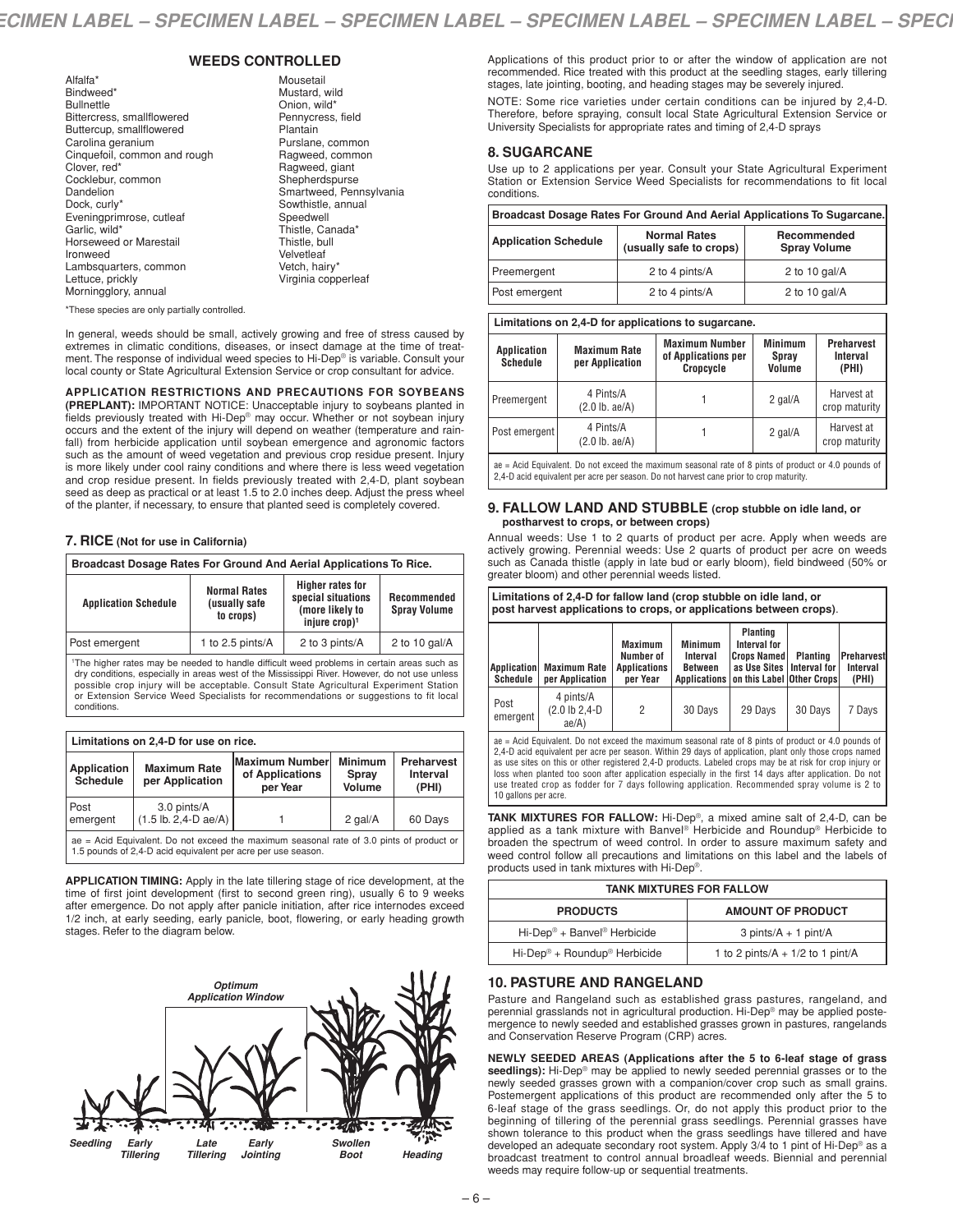### **WEEDS CONTROLLED**

Mousetail

| Alfalfa*                      |
|-------------------------------|
| Bindweed*                     |
| <b>Bullnettle</b>             |
| Bittercress, smallflowered    |
| Buttercup, smallflowered      |
| Carolina geranium             |
| Cinquefoil, common and rough  |
| Clover, red*                  |
| Cocklebur, common             |
| Dandelion                     |
| Dock, curly*                  |
| Eveningprimrose, cutleaf      |
| Garlic, wild*                 |
| <b>Horseweed or Marestail</b> |
| Ironweed                      |
| Lambsquarters, common         |
| Lettuce, prickly              |
| Morningglory, annual          |

Mustard, wild Onion, wild\* Pennycress, field Plantain Purslane, common Ragweed, common Ragweed, giant Shepherdspurse Smartweed, Pennsylvania Sowthistle, annual Speedwell Thistle, Canada\* Thistle, bull Velvetleaf Vetch, hairy\* Virginia copperleaf

\*These species are only partially controlled.

In general, weeds should be small, actively growing and free of stress caused by extremes in climatic conditions, diseases, or insect damage at the time of treatment. The response of individual weed species to Hi-Dep® is variable. Consult your local county or State Agricultural Extension Service or crop consultant for advice.

**APPLICATION RESTRICTIONS AND PRECAUTIONS FOR SOYBEANS (PREPLANT):** IMPORTANT NOTICE: Unacceptable injury to soybeans planted in fields previously treated with Hi-Dep® may occur. Whether or not soybean injury occurs and the extent of the injury will depend on weather (temperature and rainfall) from herbicide application until soybean emergence and agronomic factors such as the amount of weed vegetation and previous crop residue present. Injury is more likely under cool rainy conditions and where there is less weed vegetation and crop residue present. In fields previously treated with 2,4-D, plant soybean seed as deep as practical or at least 1.5 to 2.0 inches deep. Adjust the press wheel of the planter, if necessary, to ensure that planted seed is completely covered.

### **7. RICE (Not for use in California)**

| Broadcast Dosage Rates For Ground And Aerial Applications To Rice.                                                                                                                                                        |  |  |  |  |
|---------------------------------------------------------------------------------------------------------------------------------------------------------------------------------------------------------------------------|--|--|--|--|
| <b>Higher rates for</b><br><b>Normal Rates</b><br>special situations<br>Recommended<br><b>Application Schedule</b><br>(usually safe<br>(more likely to<br><b>Spray Volume</b><br>to crops)<br>injure $\cosh$ <sup>1</sup> |  |  |  |  |
| 1 to 2.5 pints/A<br>2 to 3 pints/A<br>2 to 10 gal/ $A$<br>Post emergent                                                                                                                                                   |  |  |  |  |

<sup>1</sup>The higher rates may be needed to handle difficult weed problems in certain areas such as dry conditions, especially in areas west of the Mississippi River. However, do not use unless possible crop injury will be acceptable. Consult State Agricultural Experiment Station or Extension Service Weed Specialists for recommendations or suggestions to fit local conditions.

| Limitations on 2,4-D for use on rice.                                                                                                                      |                                                                                                                                                                               |  |  |  |  |  |
|------------------------------------------------------------------------------------------------------------------------------------------------------------|-------------------------------------------------------------------------------------------------------------------------------------------------------------------------------|--|--|--|--|--|
| Application<br>Schedule                                                                                                                                    | <b>Minimum</b><br><b>Maximum Number</b><br>Preharvest<br><b>Maximum Rate</b><br>of Applications<br><b>Interval</b><br>Spray<br>per Application<br>Volume<br>per Year<br>(PHI) |  |  |  |  |  |
| Post<br>3.0 pints/A<br>$(1.5 \text{ lb. } 2.4 \text{ - } D \text{ ae}/A)$<br>2 $qal/A$<br>60 Days<br>emergent                                              |                                                                                                                                                                               |  |  |  |  |  |
| $ae = Acid$ Equivalent. Do not exceed the maximum seasonal rate of 3.0 pints of product or<br>1.5 pounds of 2.4-D acid equivalent per acre per use season. |                                                                                                                                                                               |  |  |  |  |  |

**APPLICATION TIMING:** Apply in the late tillering stage of rice development, at the time of first joint development (first to second green ring), usually 6 to 9 weeks after emergence. Do not apply after panicle initiation, after rice internodes exceed 1/2 inch, at early seeding, early panicle, boot, flowering, or early heading growth stages. Refer to the diagram below.



Applications of this product prior to or after the window of application are not recommended. Rice treated with this product at the seedling stages, early tillering stages, late jointing, booting, and heading stages may be severely injured.

NOTE: Some rice varieties under certain conditions can be injured by 2,4-D. Therefore, before spraying, consult local State Agricultural Extension Service or University Specialists for appropriate rates and timing of 2,4-D sprays

### **8. SUGARCANE**

Use up to 2 applications per year. Consult your State Agricultural Experiment Station or Extension Service Weed Specialists for recommendations to fit local conditions.

| Broadcast Dosage Rates For Ground And Aerial Applications To Sugarcane.                                             |                |                  |  |  |  |
|---------------------------------------------------------------------------------------------------------------------|----------------|------------------|--|--|--|
| <b>Normal Rates</b><br>Recommended<br><b>Application Schedule</b><br>(usually safe to crops)<br><b>Spray Volume</b> |                |                  |  |  |  |
| Preemergent                                                                                                         | 2 to 4 pints/A | 2 to 10 gal/ $A$ |  |  |  |
| Post emergent                                                                                                       | 2 to 4 pints/A | 2 to 10 gal/ $A$ |  |  |  |

| Limitations on 2,4-D for applications to sugarcane. |                                        |                                                           |                                   |                                        |  |  |  |
|-----------------------------------------------------|----------------------------------------|-----------------------------------------------------------|-----------------------------------|----------------------------------------|--|--|--|
| Application<br><b>Schedule</b>                      | <b>Maximum Rate</b><br>per Application | <b>Maximum Number</b><br>of Applications per<br>Cropcycle | <b>Minimum</b><br>Spray<br>Volume | <b>Preharvest</b><br>Interval<br>(PHI) |  |  |  |
| Preemergent                                         | 4 Pints/A<br>$(2.0$ lb. ae/A)          |                                                           | 2 gal/A                           | Harvest at<br>crop maturity            |  |  |  |
| Post emergent                                       | 4 Pints/A<br>$(2.0$ lb. ae/A)          |                                                           | 2 gal/A                           | Harvest at<br>crop maturity            |  |  |  |
|                                                     |                                        |                                                           |                                   |                                        |  |  |  |

= Acid Equivalent. Do not exceed the maximum seasonal rate of 8 pints of product or 4.0 pounds of 2,4-D acid equivalent per acre per season. Do not harvest cane prior to crop maturity.

#### **9. FALLOW LAND AND STUBBLE (crop stubble on idle land, or postharvest to crops, or between crops)**

Annual weeds: Use 1 to 2 quarts of product per acre. Apply when weeds are actively growing. Perennial weeds: Use 2 quarts of product per acre on weeds such as Canada thistle (apply in late bud or early bloom), field bindweed (50% or greater bloom) and other perennial weeds listed.

| <b>Application</b><br>Schedule                                                                                                                                                                                                                                                                                                                                                                                                                                                                                                                                | Limitations of 2,4-D for fallow land (crop stubble on idle land, or<br>post harvest applications to crops, or applications between crops).<br><b>Maximum Rate</b><br>per Application | <b>Maximum</b><br>Number of<br><b>Applications</b><br>per Year | <b>Minimum</b><br>Interval<br>Between<br><b>Applications</b> | Planting<br>Interval for<br><b>Crops Named</b><br>as Use Sites   Interval for<br>on this Label Other Crops | <b>Planting</b> | <b>Preharvest</b><br>Interval<br>(PHI) |
|---------------------------------------------------------------------------------------------------------------------------------------------------------------------------------------------------------------------------------------------------------------------------------------------------------------------------------------------------------------------------------------------------------------------------------------------------------------------------------------------------------------------------------------------------------------|--------------------------------------------------------------------------------------------------------------------------------------------------------------------------------------|----------------------------------------------------------------|--------------------------------------------------------------|------------------------------------------------------------------------------------------------------------|-----------------|----------------------------------------|
| Post<br>emergent                                                                                                                                                                                                                                                                                                                                                                                                                                                                                                                                              | 4 pints/A<br>$(2.0 \text{ lb } 2.4 - D)$<br>ae/A)                                                                                                                                    | 2                                                              | 30 Days                                                      | 29 Days                                                                                                    | 30 Days         | 7 Days                                 |
| ae = Acid Equivalent. Do not exceed the maximum seasonal rate of 8 pints of product or 4.0 pounds of<br>2.4-D acid equivalent per acre per season. Within 29 days of application, plant only those crops named<br>as use sites on this or other registered 2.4-D products. Labeled crops may be at risk for crop injury or<br>loss when planted too soon after application especially in the first 14 days after application. Do not<br>use treated crop as fodder for 7 days following application. Recommended spray volume is 2 to<br>10 gallons per acre. |                                                                                                                                                                                      |                                                                |                                                              |                                                                                                            |                 |                                        |

**TANK MIXTURES FOR FALLOW:** Hi-Dep®, a mixed amine salt of 2,4-D, can be applied as a tank mixture with Banvel ® Herbicide and Roundup® Herbicide to broaden the spectrum of weed control. In order to assure maximum safety and weed control follow all precautions and limitations on this label and the labels of products used in tank mixtures with Hi-Dep®.

| <b>TANK MIXTURES FOR FALLOW</b>                                |                                        |  |  |
|----------------------------------------------------------------|----------------------------------------|--|--|
| <b>AMOUNT OF PRODUCT</b><br><b>PRODUCTS</b>                    |                                        |  |  |
| $Hi\text{-}Dep^{\circledast} + Banvel^{\circledast}$ Herbicide | $3 \text{ pints/A} + 1 \text{ pint/A}$ |  |  |
| Hi-Dep <sup>®</sup> + Roundup <sup>®</sup> Herbicide           | 1 to 2 pints/ $A + 1/2$ to 1 pint/ $A$ |  |  |

### **10. PASTURE AND RANGELAND**

Pasture and Rangeland such as established grass pastures, rangeland, and perennial grasslands not in agricultural production. Hi-Dep® may be applied postemergence to newly seeded and established grasses grown in pastures, rangelands and Conservation Reserve Program (CRP) acres.

**NEWLY SEEDED AREAS (Applications after the 5 to 6-leaf stage of grass seedlings):** Hi-Dep® may be applied to newly seeded perennial grasses or to the newly seeded grasses grown with a companion/cover crop such as small grains. Postemergent applications of this product are recommended only after the 5 to 6-leaf stage of the grass seedlings. Or, do not apply this product prior to the beginning of tillering of the perennial grass seedlings. Perennial grasses have shown tolerance to this product when the grass seedlings have tillered and have developed an adequate secondary root system. Apply 3/4 to 1 pint of Hi-Dep® as a broadcast treatment to control annual broadleaf weeds. Biennial and perennial weeds may require follow-up or sequential treatments.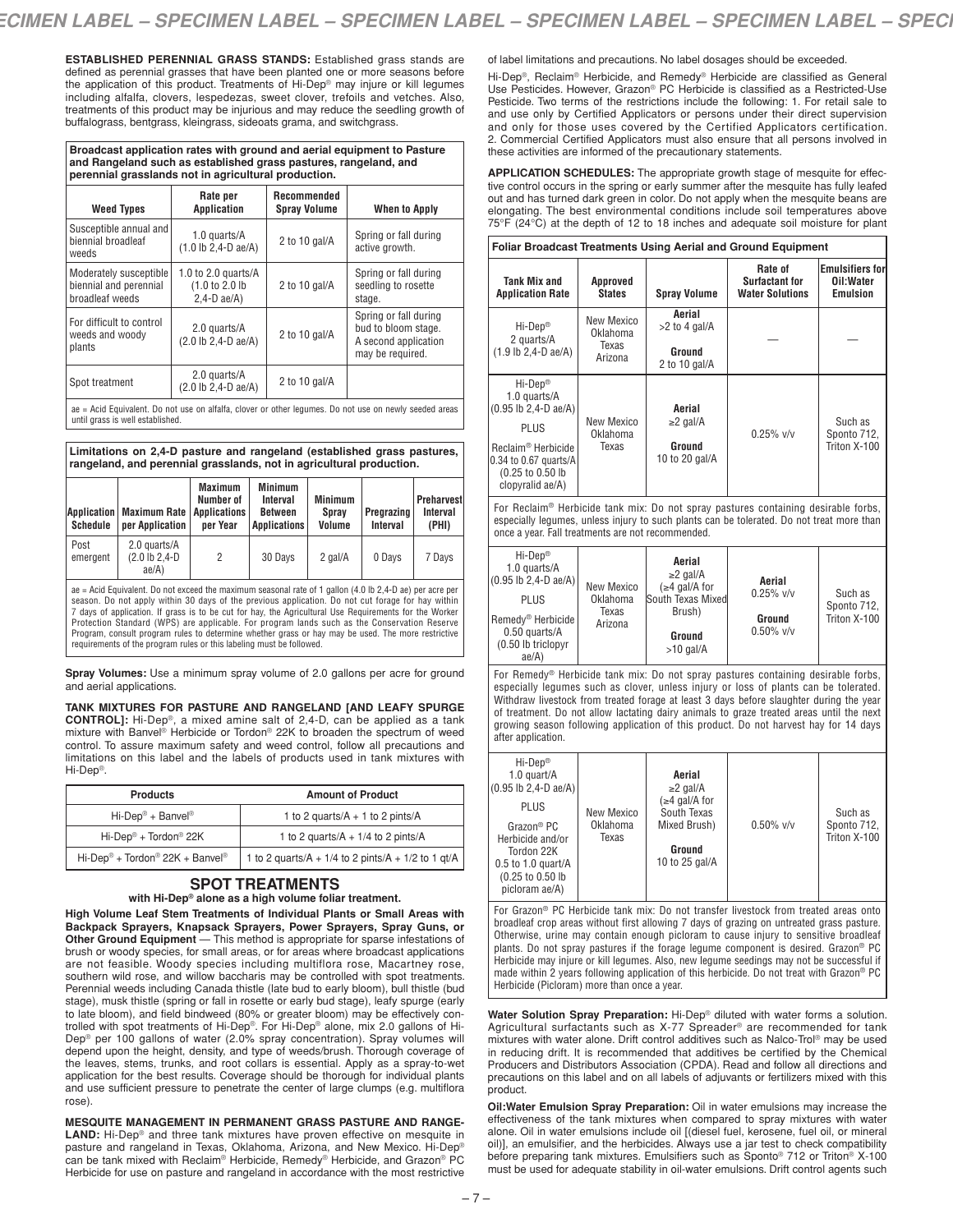**ESTABLISHED PERENNIAL GRASS STANDS:** Established grass stands are defined as perennial grasses that have been planted one or more seasons before the application of this product. Treatments of Hi-Dep® may injure or kill legumes including alfalfa, clovers, lespedezas, sweet clover, trefoils and vetches. Also, treatments of this product may be injurious and may reduce the seedling growth of buffalograss, bentgrass, kleingrass, sideoats grama, and switchgrass.

**Broadcast application rates with ground and aerial equipment to Pasture and Rangeland such as established grass pastures, rangeland, and perennial grasslands not in agricultural production.**

| <b>Weed Types</b>                                                                                      | Rate per<br><b>Application</b>                           | Recommended<br><b>Spray Volume</b> | <b>When to Apply</b>                                                                     |  |  |  |
|--------------------------------------------------------------------------------------------------------|----------------------------------------------------------|------------------------------------|------------------------------------------------------------------------------------------|--|--|--|
| Susceptible annual and<br>biennial broadleaf<br>weeds                                                  | 1.0 quarts/A<br>$(1.0 \text{ lb } 2.4 - \text{ D }ae/A)$ | 2 to 10 gal/ $A$                   | Spring or fall during<br>active growth.                                                  |  |  |  |
| Moderately susceptible<br>biennial and perennial<br>broadleaf weeds                                    | 1.0 to 2.0 quarts/ $A$<br>(1.0 to 2.0)<br>$2.4-D$ ae/A)  | 2 to 10 gal/ $\overline{A}$        | Spring or fall during<br>seedling to rosette<br>stage.                                   |  |  |  |
| For difficult to control<br>weeds and woody<br>plants                                                  | 2.0 quarts/A<br>(2.0 lb 2,4-D ae/A)                      | 2 to 10 gal/ $A$                   | Spring or fall during<br>bud to bloom stage.<br>A second application<br>may be required. |  |  |  |
| Spot treatment                                                                                         | 2.0 quarts/A<br>(2.0 lb 2,4-D ae/A)                      | 2 to 10 gal/ $A$                   |                                                                                          |  |  |  |
| ae = Acid Equivalent. Do not use on alfalfa, clover or other legumes. Do not use on newly seeded areas |                                                          |                                    |                                                                                          |  |  |  |

until grass is well established.

#### **Limitations on 2,4-D pasture and rangeland (established grass pastures, rangeland, and perennial grasslands, not in agricultural production.**

| Application <br>Schedule                                                                                                                                                                                                                                                                                                                                                                                               | <b>Maximum Rate</b><br>per Application | <b>Maximum</b><br>Number of<br><b>Applications</b><br>per Year | <b>Minimum</b><br>Interval<br><b>Between</b><br><b>Applications</b> | <b>Minimum</b><br>Spray<br>Volume | Pregrazing<br>Interval | <b>Preharvest</b><br>Interval<br>(PHI) |  |
|------------------------------------------------------------------------------------------------------------------------------------------------------------------------------------------------------------------------------------------------------------------------------------------------------------------------------------------------------------------------------------------------------------------------|----------------------------------------|----------------------------------------------------------------|---------------------------------------------------------------------|-----------------------------------|------------------------|----------------------------------------|--|
| Post<br>emergent                                                                                                                                                                                                                                                                                                                                                                                                       | 2.0 quarts/A<br>(2.0 lb 2.4-D<br>ae/A) | 2                                                              | 30 Days                                                             | 2 gal/A                           | 0 Days                 | 7 Days                                 |  |
| ae = Acid Equivalent. Do not exceed the maximum seasonal rate of 1 gallon (4.0 lb 2,4-D ae) per acre per<br>season. Do not apply within 30 days of the previous application. Do not cut forage for hay within<br>7 days of application. If grass is to be cut for hay, the Agricultural Use Requirements for the Worker<br>Protection Standard (MDS) are annicable. For program lands such as the Conservation Reserve |                                        |                                                                |                                                                     |                                   |                        |                                        |  |

Protection Standard (WPS) are applicable. For program lands such as the Conservation Reserve Program, consult program rules to determine whether grass or hay may be used. The more restrictive requirements of the program rules or this labeling must be followed.

**Spray Volumes:** Use a minimum spray volume of 2.0 gallons per acre for ground and aerial applications.

**TANK MIXTURES FOR PASTURE AND RANGELAND [AND LEAFY SPURGE**

**CONTROL]:** Hi-Dep®, a mixed amine salt of 2,4-D, can be applied as a tank mixture with Banvel ® Herbicide or Tordon® 22K to broaden the spectrum of weed control. To assure maximum safety and weed control, follow all precautions and limitations on this label and the labels of products used in tank mixtures with Hi-Dep®.

| <b>Products</b>                                         | <b>Amount of Product</b>                                    |  |  |
|---------------------------------------------------------|-------------------------------------------------------------|--|--|
| $Hi\text{-}Dep^{\circledast} + Banve\$                  | 1 to 2 quarts/ $A + 1$ to 2 pints/ $A$                      |  |  |
| Hi-Dep <sup>®</sup> + Tordon <sup>®</sup> 22K           | 1 to 2 quarts/ $A + 1/4$ to 2 pints/ $A$                    |  |  |
| Hi-Dep <sup>®</sup> + Tordon <sup>®</sup> 22K + Banvel® | 1 to 2 quarts/ $A + 1/4$ to 2 pints/ $A + 1/2$ to 1 qt/ $A$ |  |  |

# **SPOT TREATMENTS**

**with Hi-Dep® alone as a high volume foliar treatment.**

**High Volume Leaf Stem Treatments of Individual Plants or Small Areas with Backpack Sprayers, Knapsack Sprayers, Power Sprayers, Spray Guns, or Other Ground Equipment** — This method is appropriate for sparse infestations of brush or woody species, for small areas, or for areas where broadcast applications are not feasible. Woody species including multiflora rose, Macartney rose, southern wild rose, and willow baccharis may be controlled with spot treatments. Perennial weeds including Canada thistle (late bud to early bloom), bull thistle (bud stage), musk thistle (spring or fall in rosette or early bud stage), leafy spurge (early to late bloom), and field bindweed (80% or greater bloom) may be effectively controlled with spot treatments of Hi-Dep®. For Hi-Dep® alone, mix 2.0 gallons of Hi-Dep® per 100 gallons of water (2.0% spray concentration). Spray volumes will depend upon the height, density, and type of weeds/brush. Thorough coverage of the leaves, stems, trunks, and root collars is essential. Apply as a spray-to-wet application for the best results. Coverage should be thorough for individual plants and use sufficient pressure to penetrate the center of large clumps (e.g. multiflora rose).

**MESQUITE MANAGEMENT IN PERMANENT GRASS PASTURE AND RANGE-**LAND: Hi-Dep® and three tank mixtures have proven effective on mesquite in pasture and rangeland in Texas, Oklahoma, Arizona, and New Mexico. Hi-Dep® can be tank mixed with Reclaim® Herbicide, Remedy® Herbicide, and Grazon® PC Herbicide for use on pasture and rangeland in accordance with the most restrictive

of label limitations and precautions. No label dosages should be exceeded.

Hi-Dep®, Reclaim® Herbicide, and Remedy® Herbicide are classified as General Use Pesticides. However, Grazon® PC Herbicide is classified as a Restricted-Use Pesticide. Two terms of the restrictions include the following: 1. For retail sale to and use only by Certified Applicators or persons under their direct supervision and only for those uses covered by the Certified Applicators certification. 2. Commercial Certified Applicators must also ensure that all persons involved in these activities are informed of the precautionary statements.

**APPLICATION SCHEDULES:** The appropriate growth stage of mesquite for effective control occurs in the spring or early summer after the mesquite has fully leafed out and has turned dark green in color. Do not apply when the mesquite beans are elongating. The best environmental conditions include soil temperatures above  $75^{\circ}F$  (24 $\circ$ C) at the depth of 12 to 18 inches and adequate soil moisture for plant

| <b>Foliar Broadcast Treatments Using Aerial and Ground Equipment</b>                                                                                                                        |                                            |                                                         |                                                            |                                                        |  |
|---------------------------------------------------------------------------------------------------------------------------------------------------------------------------------------------|--------------------------------------------|---------------------------------------------------------|------------------------------------------------------------|--------------------------------------------------------|--|
| Tank Mix and<br><b>Application Rate</b>                                                                                                                                                     | <b>Approved</b><br><b>States</b>           | <b>Spray Volume</b>                                     | Rate of<br><b>Surfactant for</b><br><b>Water Solutions</b> | <b>Emulsifiers for</b><br>Oil:Water<br><b>Emulsion</b> |  |
| $Hi-Dep^*$<br>2 quarts/A<br>$(1.9$ lb $2,4-D$ ae/A)                                                                                                                                         | New Mexico<br>Oklahoma<br>Texas<br>Arizona | Aerial<br>$>2$ to 4 gal/A<br>Ground<br>2 to 10 gal/ $A$ |                                                            |                                                        |  |
| $Hi-Dep^*$<br>1.0 quarts/A<br>$(0.95 \text{ lb } 2.4 \text{ - } D \text{ ae}/A)$<br>PLUS<br>Reclaim <sup>®</sup> Herbicide<br>0.34 to 0.67 quarts/A<br>(0.25 to 0.50 lb<br>clopyralid ae/A) | New Mexico<br>Oklahoma<br>Texas            | Aerial<br>$\geq$ 2 gal/A<br>Ground<br>10 to 20 gal/A    | $0.25\%$ v/v                                               | Such as<br>Sponto 712,<br>Triton X-100                 |  |

For Reclaim® Herbicide tank mix: Do not spray pastures containing desirable forbs, especially legumes, unless injury to such plants can be tolerated. Do not treat more than once a year. Fall treatments are not recommended.

| Hi-Dep <sup>®</sup><br>1.0 quarts/A<br>$(0.95 \text{ lb } 2, 4 \text{ - } D \text{ ae}/A)$<br><b>PLUS</b><br>Remedy <sup>®</sup> Herbicide<br>0.50 quarts/A<br>(0.50 lb triclopyr<br>ae/A) | New Mexico<br>Oklahoma<br>Texas<br>Arizona | Aerial<br>$\geq$ 2 gal/A<br>$\leq 4$ gal/A for<br>South Texas Mixed<br>Brush)<br>Ground<br>$>10$ gal/A | Aerial<br>$0.25\%$ v/v<br>Ground<br>$0.50\%$ v/v | Such as<br>Sponto 712,<br>Triton X-100 |
|--------------------------------------------------------------------------------------------------------------------------------------------------------------------------------------------|--------------------------------------------|--------------------------------------------------------------------------------------------------------|--------------------------------------------------|----------------------------------------|

For Remedy® Herbicide tank mix: Do not spray pastures containing desirable forbs, especially legumes such as clover, unless injury or loss of plants can be tolerated. Withdraw livestock from treated forage at least 3 days before slaughter during the year of treatment. Do not allow lactating dairy animals to graze treated areas until the next growing season following application of this product. Do not harvest hay for 14 days after application.

| Hi-Dep <sup>®</sup><br>1.0 quart/A<br>$(0.95 \text{ lb } 2, 4 \text{ - } D \text{ ae}/A)$ |            | Aerial<br>$\geq$ 2 gal/A          |              |                             |
|-------------------------------------------------------------------------------------------|------------|-----------------------------------|--------------|-----------------------------|
| <b>PLUS</b>                                                                               | New Mexico | $\leq 4$ gal/A for<br>South Texas |              | Such as                     |
| Grazon <sup>®</sup> PC                                                                    | Oklahoma   | Mixed Brush)                      | $0.50\%$ v/v | Sponto 712,<br>Triton X-100 |
| Herbicide and/or<br>Tordon 22K                                                            | Texas      | Ground                            |              |                             |
| $0.5$ to 1.0 quart/A                                                                      |            | 10 to 25 gal/A                    |              |                             |
| (0.25 to 0.50 lb<br>picloram ae/A)                                                        |            |                                   |              |                             |

For Grazon® PC Herbicide tank mix: Do not transfer livestock from treated areas onto broadleaf crop areas without first allowing 7 days of grazing on untreated grass pasture. Otherwise, urine may contain enough picloram to cause injury to sensitive broadleaf plants. Do not spray pastures if the forage legume component is desired. Grazon® PC Herbicide may injure or kill legumes. Also, new legume seedings may not be successful if made within 2 years following application of this herbicide. Do not treat with Grazon® PC Herbicide (Picloram) more than once a year.

**Water Solution Spray Preparation:** Hi-Dep® diluted with water forms a solution. Agricultural surfactants such as X-77 Spreader® are recommended for tank mixtures with water alone. Drift control additives such as Nalco-Trol ® may be used in reducing drift. It is recommended that additives be certified by the Chemical Producers and Distributors Association (CPDA). Read and follow all directions and precautions on this label and on all labels of adjuvants or fertilizers mixed with this product.

**Oil:Water Emulsion Spray Preparation:** Oil in water emulsions may increase the effectiveness of the tank mixtures when compared to spray mixtures with water alone. Oil in water emulsions include oil [(diesel fuel, kerosene, fuel oil, or mineral oil)], an emulsifier, and the herbicides. Always use a jar test to check compatibility before preparing tank mixtures. Emulsifiers such as Sponto® 712 or Triton® X-100 must be used for adequate stability in oil-water emulsions. Drift control agents such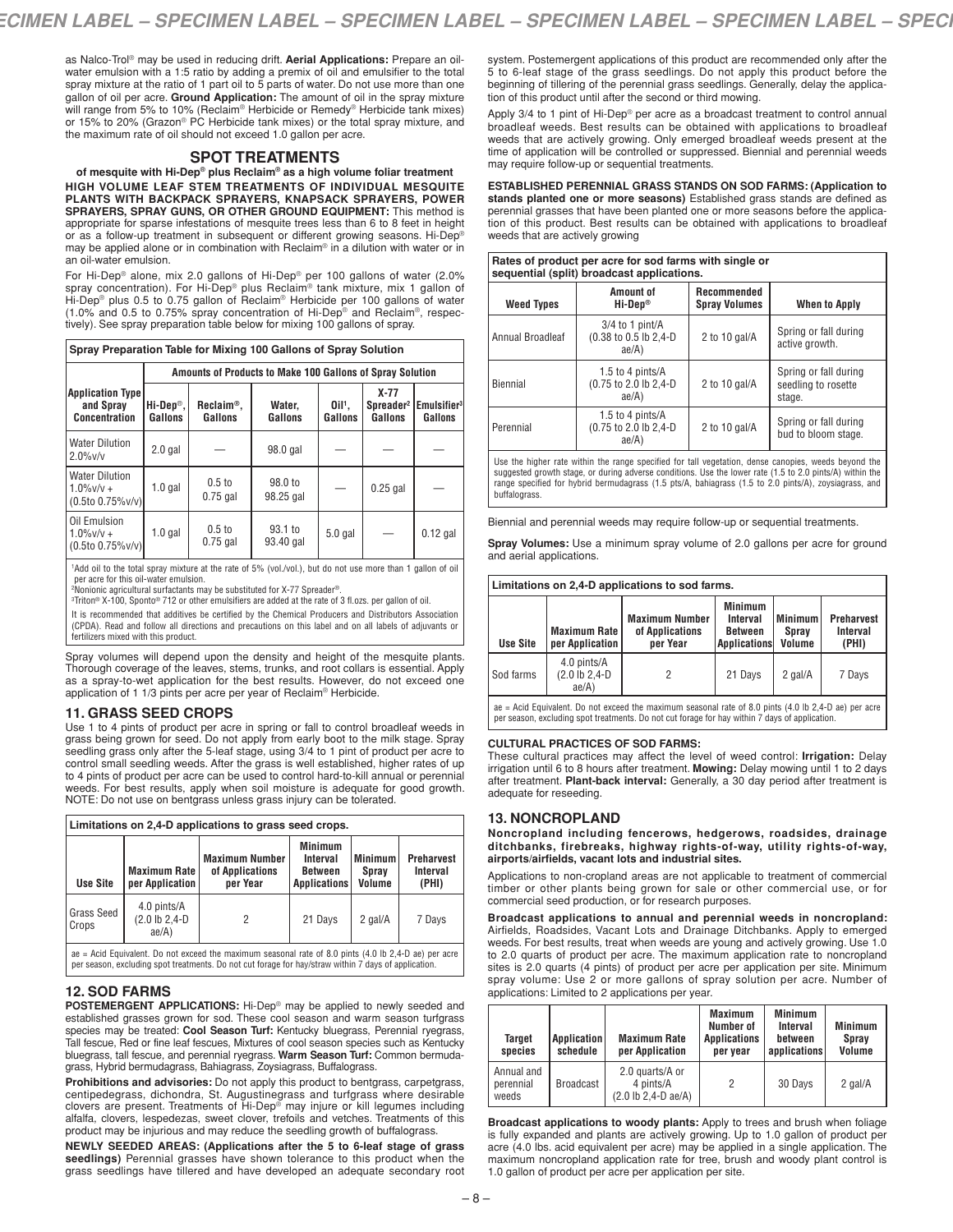as Nalco-Trol ® may be used in reducing drift. **Aerial Applications:** Prepare an oilwater emulsion with a 1:5 ratio by adding a premix of oil and emulsifier to the total spray mixture at the ratio of 1 part oil to 5 parts of water. Do not use more than one gallon of oil per acre. **Ground Application:** The amount of oil in the spray mixture will range from 5% to 10% (Reclaim® Herbicide or Remedy® Herbicide tank mixes) or 15% to 20% (Grazon® PC Herbicide tank mixes) or the total spray mixture, and the maximum rate of oil should not exceed 1.0 gallon per acre.

### **SPOT TREATMENTS**

**of mesquite with Hi-Dep® plus Reclaim® as a high volume foliar treatment HIGH VOLUME LEAF STEM TREATMENTS OF INDIVIDUAL MESQUITE PLANTS WITH BACKPACK SPRAYERS, KNAPSACK SPRAYERS, POWER SPRAYERS, SPRAY GUNS, OR OTHER GROUND EQUIPMENT:** This method is appropriate for sparse infestations of mesquite trees less than 6 to 8 feet in height<br>or as a follow-up treatment in subsequent or different growing seasons. Hi-Dep® may be applied alone or in combination with Reclaim® in a dilution with water or in an oil-water emulsion.

For Hi-Dep® alone, mix 2.0 gallons of Hi-Dep® per 100 gallons of water (2.0%<br>spray concentration). For Hi-Dep® plus Reclaim® tank mixture, mix 1 gallon of<br>Hi-Dep® plus 0.5 to 0.75 gallon of Reclaim® Herbicide per 100 gallo (1.0% and 0.5 to 0.75% spray concentration of Hi-Dep® and Reclaim®, respectively). See spray preparation table below for mixing 100 gallons of spray.

| Spray Preparation Table for Mixing 100 Gallons of Spray Solution |  |
|------------------------------------------------------------------|--|
|                                                                  |  |
|                                                                  |  |

|                                                                   | Amounts of Products to Make 100 Gallons of Spray Solution |                                 |                        |                                 |                   |                                                          |  |
|-------------------------------------------------------------------|-----------------------------------------------------------|---------------------------------|------------------------|---------------------------------|-------------------|----------------------------------------------------------|--|
| <b>Application Type</b><br>and Spray<br>Concentration             | $Hi-Dep®$ ,<br>Gallons                                    | $Reclain®$ ,<br>Gallons         | Water.<br>Gallons      | $OII$ <sup>1</sup> .<br>Gallons | $X-77$<br>Gallons | Spreader <sup>2</sup> Emulsifier <sup>3</sup><br>Gallons |  |
| <b>Water Dilution</b><br>$2.0\%$ v/v                              | $2.0$ gal                                                 |                                 | 98.0 gal               |                                 |                   |                                                          |  |
| <b>Water Dilution</b><br>$1.0\%$ v/v +<br>$(0.5$ to $0.75\%$ v/v) | $1.0$ gal                                                 | 0.5 <sub>to</sub><br>$0.75$ gal | 98.0 to<br>98.25 gal   |                                 | $0.25$ gal        |                                                          |  |
| Oil Emulsion<br>$1.0\%$ v/v +<br>$(0.5$ to $0.75\%$ v/v)          | $1.0$ gal                                                 | 0.5 <sub>to</sub><br>$0.75$ gal | $93.1$ to<br>93.40 gal | $5.0$ gal                       |                   | $0.12$ gal                                               |  |

1 Add oil to the total spray mixture at the rate of 5% (vol./vol.), but do not use more than 1 gallon of oil per acre for this oil-water emulsion.

2 Nonionic agricultural surfactants may be substituted for X-77 Spreader®.

3 Triton® X-100, Sponto® 712 or other emulsifiers are added at the rate of 3 fl.ozs. per gallon of oil.

It is recommended that additives be certified by the Chemical Producers and Distributors Association (CPDA). Read and follow all directions and precautions on this label and on all labels of adjuvants or fertilizers mixed with this product.

Spray volumes will depend upon the density and height of the mesquite plants. Thorough coverage of the leaves, stems, trunks, and root collars is essential. Apply as a spray-to-wet application for the best results. However, do not exceed one application of 1 1/3 pints per acre per year of Reclaim® Herbicide.

#### **11. GRASS SEED CROPS**

Use 1 to 4 pints of product per acre in spring or fall to control broadleaf weeds in grass being grown for seed. Do not apply from early boot to the milk stage. Spray seedling grass only after the 5-leaf stage, using 3/4 to 1 pint of product per acre to control small seedling weeds. After the grass is well established, higher rates of up to 4 pints of product per acre can be used to control hard-to-kill annual or perennial weeds. For best results, apply when soil moisture is adequate for good growth. NOTE: Do not use on bentgrass unless grass injury can be tolerated.

| Limitations on 2,4-D applications to grass seed crops.                                                          |                                           |                                                      |                                                              |                                   |                                        |  |
|-----------------------------------------------------------------------------------------------------------------|-------------------------------------------|------------------------------------------------------|--------------------------------------------------------------|-----------------------------------|----------------------------------------|--|
| <b>Use Site</b>                                                                                                 | <b>Maximum Rate</b><br>per Application    | <b>Maximum Number</b><br>of Applications<br>per Year | <b>Minimum</b><br>Interval<br><b>Between</b><br>Applications | <b>Minimum</b><br>Spray<br>Volume | <b>Preharvest</b><br>Interval<br>(PHI) |  |
| Grass Seed<br>Crops                                                                                             | 4.0 pints/A<br>$(2.0$ lb $2,4-D$<br>ae/A) | 2                                                    | 21 Days                                                      | 2 gal/A                           | 7 Days                                 |  |
| $\lambda$ ae = Acid Equivalent. Do not exceed the maximum seasonal rate of 8.0 pints (4.0 lb 2.4-D ae) per acre |                                           |                                                      |                                                              |                                   |                                        |  |

per season, excluding spot treatments. Do not cut forage for hay/straw within 7 days of application.

### **12. SOD FARMS**

**POSTEMERGENT APPLICATIONS:** Hi-Dep® may be applied to newly seeded and established grasses grown for sod. These cool season and warm season turfgrass species may be treated: **Cool Season Turf:** Kentucky bluegrass, Perennial ryegrass, Tall fescue, Red or fine leaf fescues, Mixtures of cool season species such as Kentucky bluegrass, tall fescue, and perennial ryegrass. **Warm Season Turf:** Common bermudagrass, Hybrid bermudagrass, Bahiagrass, Zoysiagrass, Buffalograss.

**Prohibitions and advisories:** Do not apply this product to bentgrass, carpetgrass, centipedegrass, dichondra, St. Augustinegrass and turfgrass where desirable<br>clovers are present. Treatments of Hi-Dep® may injure or kill legumes including<br>alfalfa. clovers. lespedezas. sweet clover. trefoils and vetches. product may be injurious and may reduce the seedling growth of buffalograss.

**NEWLY SEEDED AREAS: (Applications after the 5 to 6-leaf stage of grass seedlings)** Perennial grasses have shown tolerance to this product when the grass seedlings have tillered and have developed an adequate secondary root

system. Postemergent applications of this product are recommended only after the 5 to 6-leaf stage of the grass seedlings. Do not apply this product before the beginning of tillering of the perennial grass seedlings. Generally, delay the application of this product until after the second or third mowing.

Apply 3/4 to 1 pint of Hi-Dep® per acre as a broadcast treatment to control annual broadleaf weeds. Best results can be obtained with applications to broadleaf weeds that are actively growing. Only emerged broadleaf weeds present at the time of application will be controlled or suppressed. Biennial and perennial weeds may require follow-up or sequential treatments.

**ESTABLISHED PERENNIAL GRASS STANDS ON SOD FARMS: (Application to stands planted one or more seasons)** Established grass stands are defined as perennial grasses that have been planted one or more seasons before the application of this product. Best results can be obtained with applications to broadleaf weeds that are actively growing

| sequential (split) broadcast applications.<br>Amount of<br>Recommended                                                                                                                                                                                                                                                    |                                                       |                      |                                                        |  |  |  |
|---------------------------------------------------------------------------------------------------------------------------------------------------------------------------------------------------------------------------------------------------------------------------------------------------------------------------|-------------------------------------------------------|----------------------|--------------------------------------------------------|--|--|--|
| <b>Weed Types</b>                                                                                                                                                                                                                                                                                                         | Hi-Dep®                                               | <b>Spray Volumes</b> | <b>When to Apply</b>                                   |  |  |  |
| Annual Broadleaf                                                                                                                                                                                                                                                                                                          | $3/4$ to 1 pint/A<br>(0.38 to 0.5 lb 2,4-D<br>ae/A)   | 2 to 10 $qal/A$      | Spring or fall during<br>active growth.                |  |  |  |
| Biennial                                                                                                                                                                                                                                                                                                                  | 1.5 to 4 pints/ $A$<br>(0.75 to 2.0 lb 2,4-D<br>ae/A) | 2 to 10 gal/ $A$     | Spring or fall during<br>seedling to rosette<br>stage. |  |  |  |
| 1.5 to 4 pints/A<br>Spring or fall during<br>Perennial<br>(0.75 to 2.0 lb 2.4-D)<br>2 to 10 gal/ $A$<br>bud to bloom stage.<br>ae/A)                                                                                                                                                                                      |                                                       |                      |                                                        |  |  |  |
| Use the higher rate within the range specified for tall vegetation, dense canopies, weeds beyond the<br>suggested growth stage, or during adverse conditions. Use the lower rate (1.5 to 2.0 pints/A) within the<br>range specified for hybrid bermudagrass (1.5 pts/A, bahiagrass (1.5 to 2.0 pints/A), zoysiagrass, and |                                                       |                      |                                                        |  |  |  |

buffalograss.

Biennial and perennial weeds may require follow-up or sequential treatments.

**Spray Volumes:** Use a minimum spray volume of 2.0 gallons per acre for ground and aerial applications.

#### **Limitations on 2,4-D applications to sod farms.**

| <b>Use Site</b> | <b>Maximum Rate I</b><br>per Application | <b>Maximum Number</b><br>of Applications<br>per Year | <b>Minimum</b><br>Interval<br><b>Between</b><br><b>Applications</b> | <b>Minimum</b><br><b>Spray</b><br>Volume | <b>Preharvest</b><br><b>Interval</b><br>(PHI) |
|-----------------|------------------------------------------|------------------------------------------------------|---------------------------------------------------------------------|------------------------------------------|-----------------------------------------------|
| Sod farms       | 4.0 pints/A<br>(2.0 lb 2,4-D<br>ae/A)    |                                                      | 21 Days                                                             | 2 gal/A                                  | 7 Days                                        |

ae = Acid Equivalent. Do not exceed the maximum seasonal rate of 8.0 pints (4.0 lb 2,4-D ae) per acre per season, excluding spot treatments. Do not cut forage for hay within 7 days of application.

#### **CULTURAL PRACTICES OF SOD FARMS:**

These cultural practices may affect the level of weed control: **Irrigation:** Delay irrigation until 6 to 8 hours after treatment. **Mowing:** Delay mowing until 1 to 2 days after treatment. **Plant-back interval:** Generally, a 30 day period after treatment is adequate for reseeding.

#### **13. NONCROPLAND**

**Noncropland including fencerows, hedgerows, roadsides, drainage ditchbanks, firebreaks, highway rights-of-way, utility rights-of-way, airports/airfields, vacant lots and industrial sites.**

Applications to non-cropland areas are not applicable to treatment of commercial timber or other plants being grown for sale or other commercial use, or for commercial seed production, or for research purposes.

**Broadcast applications to annual and perennial weeds in noncropland:** Airfields, Roadsides, Vacant Lots and Drainage Ditchbanks. Apply to emerged weeds. For best results, treat when weeds are young and actively growing. Use 1.0 to 2.0 quarts of product per acre. The maximum application rate to noncropland sites is 2.0 quarts (4 pints) of product per acre per application per site. Minimum spray volume: Use 2 or more gallons of spray solution per acre. Number of applications: Limited to 2 applications per year.

| <b>Target</b><br>species         | Application<br>schedule | <b>Maximum Rate</b><br>per Application                                           | <b>Maximum</b><br>Number of<br><b>Applications</b><br>per year | <b>Minimum</b><br>Interval<br>between<br>applications | <b>Minimum</b><br><b>Sprav</b><br>Volume |
|----------------------------------|-------------------------|----------------------------------------------------------------------------------|----------------------------------------------------------------|-------------------------------------------------------|------------------------------------------|
| Annual and<br>perennial<br>weeds | Broadcast               | 2.0 quarts/A or<br>4 pints/A<br>$(2.0 \text{ lb } 2.4 - \text{ D } \text{ae/A})$ | 2                                                              | 30 Days                                               | 2 gal/A                                  |

**Broadcast applications to woody plants:** Apply to trees and brush when foliage is fully expanded and plants are actively growing. Up to 1.0 gallon of product per acre (4.0 lbs. acid equivalent per acre) may be applied in a single application. The maximum noncropland application rate for tree, brush and woody plant control is 1.0 gallon of product per acre per application per site.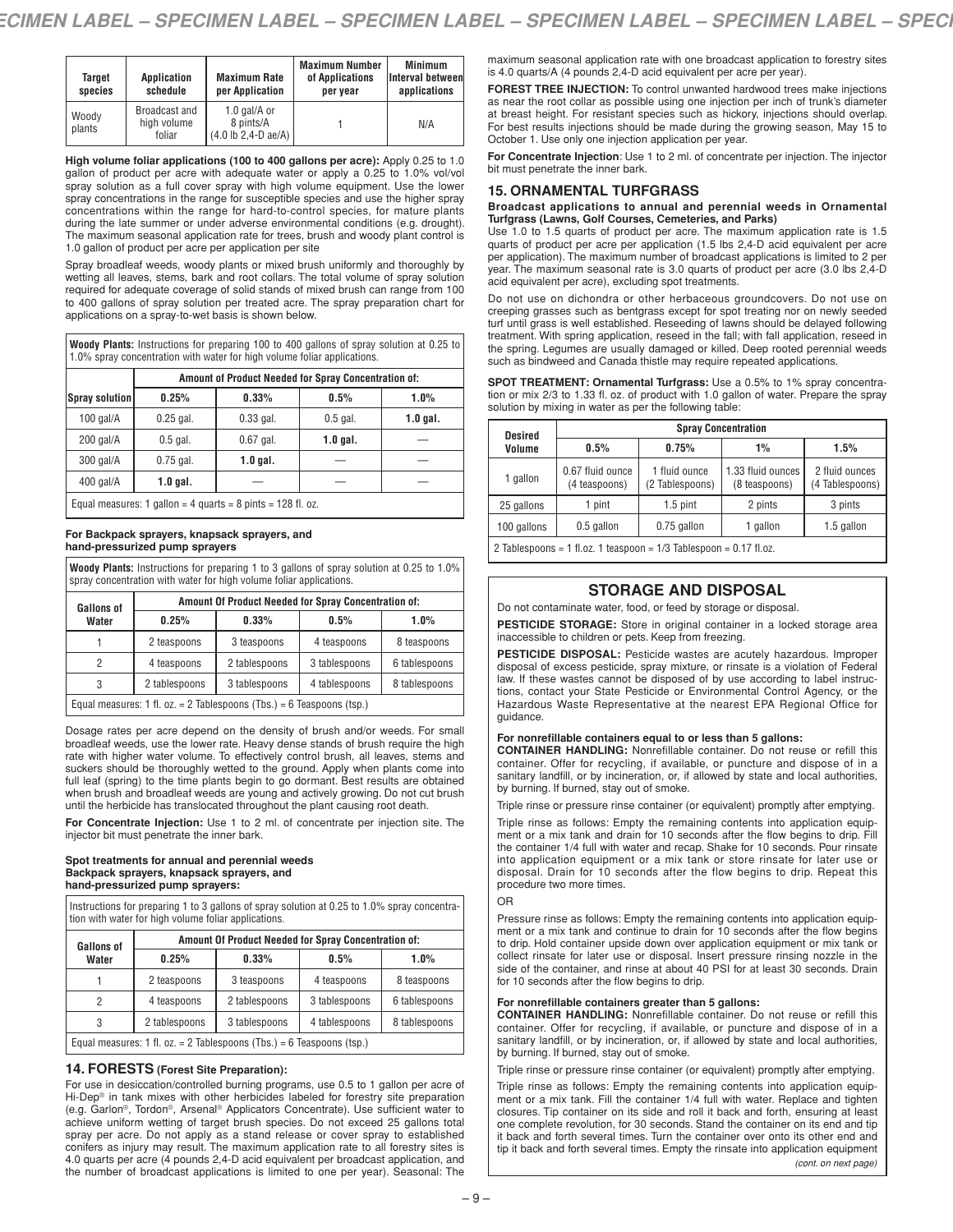| Target<br>species | <b>Application</b><br>schedule         | <b>Maximum Rate</b><br>per Application                                         | <b>Maximum Number</b><br>of Applications<br>per year | Minimum<br>Interval betweenl<br>applications |
|-------------------|----------------------------------------|--------------------------------------------------------------------------------|------------------------------------------------------|----------------------------------------------|
| Woody<br>plants   | Broadcast and<br>high volume<br>foliar | 1.0 gal/A or<br>8 pints/A<br>$(4.0 \text{ lb } 2.4 \text{ - } D \text{ ae}/A)$ |                                                      | N/A                                          |

**High volume foliar applications (100 to 400 gallons per acre):** Apply 0.25 to 1.0 gallon of product per acre with adequate water or apply a 0.25 to 1.0% vol/vol spray solution as a full cover spray with high volume equipment. Use the lower spray concentrations in the range for susceptible species and use the higher spray concentrations within the range for hard-to-control species, for mature plants during the late summer or under adverse environmental conditions (e.g. drought). The maximum seasonal application rate for trees, brush and woody plant control is 1.0 gallon of product per acre per application per site

Spray broadleaf weeds, woody plants or mixed brush uniformly and thoroughly by wetting all leaves, stems, bark and root collars. The total volume of spray solution required for adequate coverage of solid stands of mixed brush can range from 100 to 400 gallons of spray solution per treated acre. The spray preparation chart for applications on a spray-to-wet basis is shown below.

**Woody Plants:** Instructions for preparing 100 to 400 gallons of spray solution at 0.25 to 1.0% spray concentration with water for high volume foliar applications.

|                | Amount of Product Needed for Spray Concentration of:          |             |            |            |  |  |  |
|----------------|---------------------------------------------------------------|-------------|------------|------------|--|--|--|
| Spray solution | 0.25%                                                         | 0.33%       | 0.5%       | 1.0%       |  |  |  |
| $100$ gal/A    | $0.25$ gal.                                                   | $0.33$ gal. | $0.5$ gal. | $1.0$ gal. |  |  |  |
| $200$ gal/A    | $0.5$ gal.                                                    | $0.67$ gal. | $1.0$ gal. |            |  |  |  |
| 300 gal/A      | $0.75$ gal.                                                   | $1.0$ gal.  |            |            |  |  |  |
| $400$ gal/A    | $1.0$ gal.                                                    |             |            |            |  |  |  |
|                | Equal measures: 1 gallon = 4 guarts = 8 pints = $128$ fl. oz. |             |            |            |  |  |  |

**For Backpack sprayers, knapsack sprayers, and hand-pressurized pump sprayers**

**Woody Plants:** Instructions for preparing 1 to 3 gallons of spray solution at 0.25 to 1.0% spray concentration with water for high volume foliar applications.

| <b>Gallons of</b>                                                     | Amount Of Product Needed for Spray Concentration of: |               |               |               |  |
|-----------------------------------------------------------------------|------------------------------------------------------|---------------|---------------|---------------|--|
| Water                                                                 | 0.25%                                                | 0.33%         | 0.5%          | 1.0%          |  |
|                                                                       | 2 teaspoons                                          | 3 teaspoons   | 4 teaspoons   | 8 teaspoons   |  |
| 2                                                                     | 4 teaspoons                                          | 2 tablespoons | 3 tablespoons | 6 tablespoons |  |
| 3                                                                     | 2 tablespoons                                        | 3 tablespoons | 4 tablespoons | 8 tablespoons |  |
| Equal measures: 1 fl. oz. = 2 Tablespoons (Tbs.) = 6 Teaspoons (tsp.) |                                                      |               |               |               |  |

Dosage rates per acre depend on the density of brush and/or weeds. For small broadleaf weeds, use the lower rate. Heavy dense stands of brush require the high rate with higher water volume. To effectively control brush, all leaves, stems and suckers should be thoroughly wetted to the ground. Apply when plants come into full leaf (spring) to the time plants begin to go dormant. Best results are obtained when brush and broadleaf weeds are young and actively growing. Do not cut brush until the herbicide has translocated throughout the plant causing root death.

**For Concentrate Injection:** Use 1 to 2 ml. of concentrate per injection site. The injector bit must penetrate the inner bark.

#### **Spot treatments for annual and perennial weeds Backpack sprayers, knapsack sprayers, and hand-pressurized pump sprayers:**

Instructions for preparing 1 to 3 gallons of spray solution at 0.25 to 1.0% spray concentration with water for high volume foliar applications.

| <b>Gallons of</b>                                                     | Amount Of Product Needed for Spray Concentration of: |               |               |               |  |
|-----------------------------------------------------------------------|------------------------------------------------------|---------------|---------------|---------------|--|
| Water                                                                 | 0.25%                                                | 0.33%         | 0.5%          | $1.0\%$       |  |
|                                                                       | 2 teaspoons                                          | 3 teaspoons   | 4 teaspoons   | 8 teaspoons   |  |
| 2                                                                     | 4 teaspoons                                          | 2 tablespoons | 3 tablespoons | 6 tablespoons |  |
| 3                                                                     | 2 tablespoons                                        | 3 tablespoons | 4 tablespoons | 8 tablespoons |  |
| Equal measures: 1 fl. oz. = 2 Tablespoons (Tbs.) = 6 Teaspoons (tsp.) |                                                      |               |               |               |  |

## **14. FORESTS (Forest Site Preparation):**

For use in desiccation/controlled burning programs, use 0.5 to 1 gallon per acre of Hi-Dep<sup>®</sup> in tank mixes with other herbicides labeled for forestry site preparation (e.g. Garlon®, Tordon®, Arsenal ® Applicators Concentrate). Use sufficient water to achieve uniform wetting of target brush species. Do not exceed 25 gallons total spray per acre. Do not apply as a stand release or cover spray to established conifers as injury may result. The maximum application rate to all forestry sites is 4.0 quarts per acre (4 pounds 2,4-D acid equivalent per broadcast application, and the number of broadcast applications is limited to one per year). Seasonal: The

maximum seasonal application rate with one broadcast application to forestry sites is 4.0 quarts/A (4 pounds 2,4-D acid equivalent per acre per year).

**FOREST TREE INJECTION:** To control unwanted hardwood trees make injections as near the root collar as possible using one injection per inch of trunk's diameter at breast height. For resistant species such as hickory, injections should overlap. For best results injections should be made during the growing season, May 15 to October 1. Use only one injection application per year.

**For Concentrate Injection**: Use 1 to 2 ml. of concentrate per injection. The injector bit must penetrate the inner bark.

### **15. ORNAMENTAL TURFGRASS**

# Broadcast applications to annual and perennial weeds in Ornamental<br>Turfgrass (Lawns, Golf Courses, Cemeteries, and Parks)

Use 1.0 to 1.5 quarts of product per acre. The maximum application rate is 1.5 quarts of product per acre per application (1.5 lbs 2,4-D acid equivalent per acre per application). The maximum number of broadcast applications is limited to 2 per year. The maximum seasonal rate is 3.0 quarts of product per acre (3.0 lbs 2,4-D acid equivalent per acre), excluding spot treatments.

Do not use on dichondra or other herbaceous groundcovers. Do not use on creeping grasses such as bentgrass except for spot treating nor on newly seeded turf until grass is well established. Reseeding of lawns should be delayed following treatment. With spring application, reseed in the fall; with fall application, reseed in the spring. Legumes are usually damaged or killed. Deep rooted perennial weeds such as bindweed and Canada thistle may require repeated applications.

| <b>SPOT TREATMENT: Ornamental Turfgrass:</b> Use a 0.5% to 1% spray concentra-         |
|----------------------------------------------------------------------------------------|
| tion or mix 2/3 to 1.33 fl. oz. of product with 1.0 gallon of water. Prepare the spray |
| solution by mixing in water as per the following table:                                |

| <b>Desired</b> | <b>Spray Concentration</b>                                            |                                  |                                    |                                   |  |  |
|----------------|-----------------------------------------------------------------------|----------------------------------|------------------------------------|-----------------------------------|--|--|
| Volume         | 0.5%                                                                  | 0.75%                            | $1\%$                              | 1.5%                              |  |  |
| 1 gallon       | 0.67 fluid ounce<br>(4 teaspoons)                                     | 1 fluid ounce<br>(2 Tablespoons) | 1.33 fluid ounces<br>(8 teaspoons) | 2 fluid ounces<br>(4 Tablespoons) |  |  |
| 25 gallons     | 1 pint                                                                | $1.5$ pint                       | 2 pints                            | 3 pints                           |  |  |
| 100 gallons    | 0.5 gallon                                                            | 0.75 gallon                      | 1 gallon                           | 1.5 gallon                        |  |  |
|                | $2$ Toblespoons $-1$ fl.oz 1 tesspoon $-1/2$ Toblespoon $-0.17$ fl.oz |                                  |                                    |                                   |  |  |

2 Tablespoons = 1 fl.oz. 1 teaspoon = 1/3 Tablespoon = 0.17 fl.oz.

# **STORAGE AND DISPOSAL**

Do not contaminate water, food, or feed by storage or disposal.

**PESTICIDE STORAGE:** Store in original container in a locked storage area inaccessible to children or pets. Keep from freezing.

**PESTICIDE DISPOSAL:** Pesticide wastes are acutely hazardous. Improper disposal of excess pesticide, spray mixture, or rinsate is a violation of Federal law. If these wastes cannot be disposed of by use according to label instructions, contact your State Pesticide or Environmental Control Agency, or the Hazardous Waste Representative at the nearest EPA Regional Office for guidance.

#### **For nonrefillable containers equal to or less than 5 gallons:**

**CONTAINER HANDLING:** Nonrefillable container. Do not reuse or refill this container. Offer for recycling, if available, or puncture and dispose of in a sanitary landfill, or by incineration, or, if allowed by state and local authorities, by burning. If burned, stay out of smoke.

Triple rinse or pressure rinse container (or equivalent) promptly after emptying.

Triple rinse as follows: Empty the remaining contents into application equipment or a mix tank and drain for 10 seconds after the flow begins to drip. Fill the container 1/4 full with water and recap. Shake for 10 seconds. Pour rinsate into application equipment or a mix tank or store rinsate for later use or disposal. Drain for 10 seconds after the flow begins to drip. Repeat this procedure two more times.

### OR

Pressure rinse as follows: Empty the remaining contents into application equipment or a mix tank and continue to drain for 10 seconds after the flow begins to drip. Hold container upside down over application equipment or mix tank or collect rinsate for later use or disposal. Insert pressure rinsing nozzle in the side of the container, and rinse at about 40 PSI for at least 30 seconds. Drain for 10 seconds after the flow begins to drip.

### **For nonrefillable containers greater than 5 gallons:**

**CONTAINER HANDLING:** Nonrefillable container. Do not reuse or refill this container. Offer for recycling, if available, or puncture and dispose of in a sanitary landfill, or by incineration, or, if allowed by state and local authorities, by burning. If burned, stay out of smoke.

Triple rinse or pressure rinse container (or equivalent) promptly after emptying.

Triple rinse as follows: Empty the remaining contents into application equipment or a mix tank. Fill the container 1/4 full with water. Replace and tighten closures. Tip container on its side and roll it back and forth, ensuring at least one complete revolution, for 30 seconds. Stand the container on its end and tip it back and forth several times. Turn the container over onto its other end and tip it back and forth several times. Empty the rinsate into application equipment *(cont. on next page)*